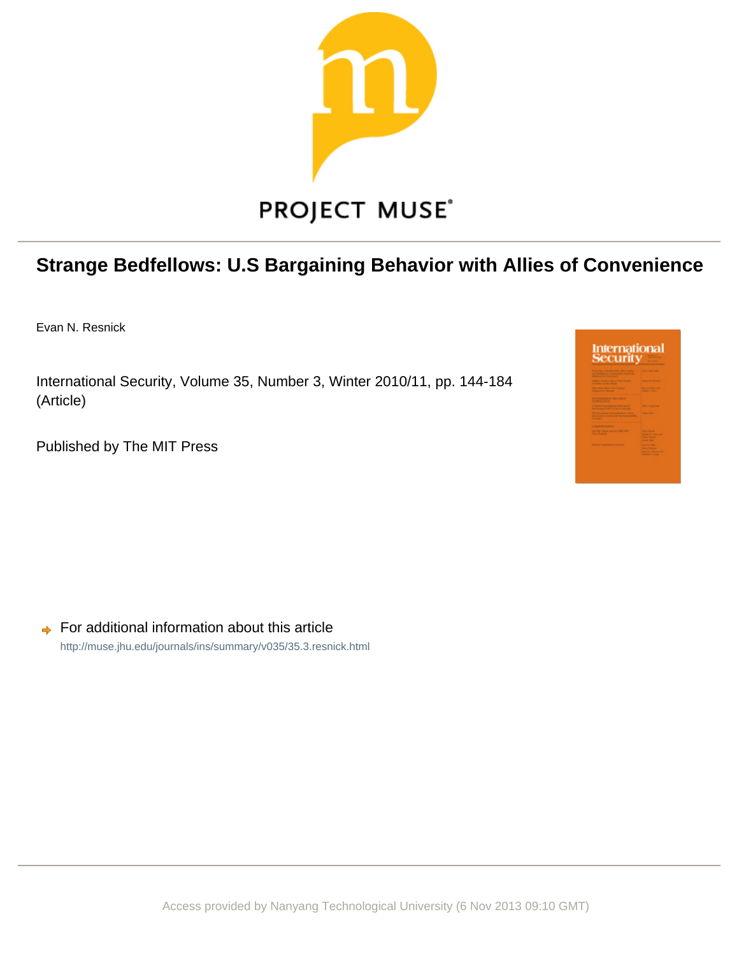

# **PROJECT MUSE®**

# **Strange Bedfellows: U.S Bargaining Behavior with Allies of Convenience**

Evan N. Resnick

International Security, Volume 35, Number 3, Winter 2010/11, pp. 144-184 (Article)

Published by The MIT Press

|                                                                                                  | <b>Security</b>                                                                                                  |
|--------------------------------------------------------------------------------------------------|------------------------------------------------------------------------------------------------------------------|
| of booksman Commission Asset and<br><b>STATISTICS IN COLUMN CONTINUES.</b>                       |                                                                                                                  |
| <b>Miller Property Property Pro-</b><br>A Mark to the Platter College                            |                                                                                                                  |
| <b>Wells, Marine Printers Street Construction</b><br><b><i><u>Property of Concession</u></i></b> | <b>Bank College Inc.</b><br><b>Service Control</b>                                                               |
| <b>WE'LL BEEN A STATE THAT SHEET</b><br>William Adults Inc.                                      |                                                                                                                  |
| A discussion and construction<br><b>Production of the product of the product</b>                 |                                                                                                                  |
| <b>Machinery Avenue Artists Adverts</b><br>the factory framed and that<br>--                     |                                                                                                                  |
| <b><i>COMMENTARY REPORT FOR</i></b>                                                              |                                                                                                                  |
| <b>Contract Contract</b>                                                                         | --<br><b>Partial States</b><br><b>Search Color</b><br><b>STATISTICS</b>                                          |
| <b>NAME OF GROOM</b>                                                                             | <b>Charles Address</b><br><b>Address Contract of Con-</b><br><b><i>CALCULA MANAGER</i></b><br><b>STATE STATE</b> |

 $\rightarrow$  For additional information about this article <http://muse.jhu.edu/journals/ins/summary/v035/35.3.resnick.html>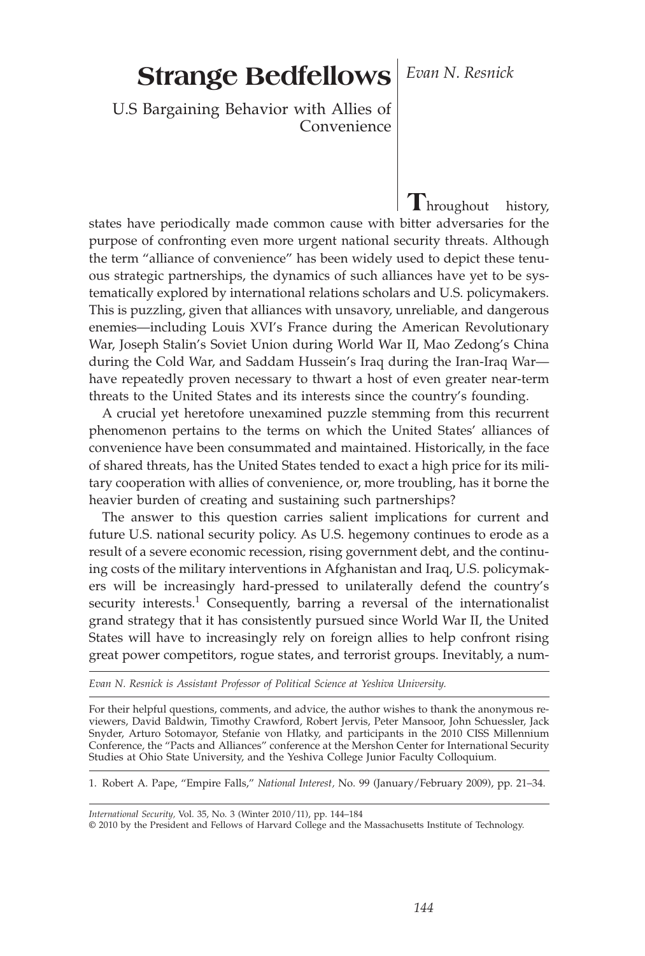# **Strange Bedfellows** *Evan N. Resnick*

U.S Bargaining Behavior with Allies of Convenience

**T**hroughout history, states have periodically made common cause with bitter adversaries for the purpose of confronting even more urgent national security threats. Although the term "alliance of convenience" has been widely used to depict these tenuous strategic partnerships, the dynamics of such alliances have yet to be systematically explored by international relations scholars and U.S. policymakers. This is puzzling, given that alliances with unsavory, unreliable, and dangerous enemies—including Louis XVI's France during the American Revolutionary War, Joseph Stalin's Soviet Union during World War II, Mao Zedong's China during the Cold War, and Saddam Hussein's Iraq during the Iran-Iraq War have repeatedly proven necessary to thwart a host of even greater near-term threats to the United States and its interests since the country's founding.

A crucial yet heretofore unexamined puzzle stemming from this recurrent phenomenon pertains to the terms on which the United States' alliances of convenience have been consummated and maintained. Historically, in the face of shared threats, has the United States tended to exact a high price for its military cooperation with allies of convenience, or, more troubling, has it borne the heavier burden of creating and sustaining such partnerships?

The answer to this question carries salient implications for current and future U.S. national security policy. As U.S. hegemony continues to erode as a result of a severe economic recession, rising government debt, and the continuing costs of the military interventions in Afghanistan and Iraq, U.S. policymakers will be increasingly hard-pressed to unilaterally defend the country's security interests.<sup>1</sup> Consequently, barring a reversal of the internationalist grand strategy that it has consistently pursued since World War II, the United States will have to increasingly rely on foreign allies to help confront rising great power competitors, rogue states, and terrorist groups. Inevitably, a num-

*Evan N. Resnick is Assistant Professor of Political Science at Yeshiva University.*

For their helpful questions, comments, and advice, the author wishes to thank the anonymous reviewers, David Baldwin, Timothy Crawford, Robert Jervis, Peter Mansoor, John Schuessler, Jack Snyder, Arturo Sotomayor, Stefanie von Hlatky, and participants in the 2010 CISS Millennium Conference, the "Pacts and Alliances" conference at the Mershon Center for International Security Studies at Ohio State University, and the Yeshiva College Junior Faculty Colloquium.

1. Robert A. Pape, "Empire Falls," *National Interest,* No. 99 (January/February 2009), pp. 21–34.

*International Security,* Vol. 35, No. 3 (Winter 2010/11), pp. 144–184

© 2010 by the President and Fellows of Harvard College and the Massachusetts Institute of Technology.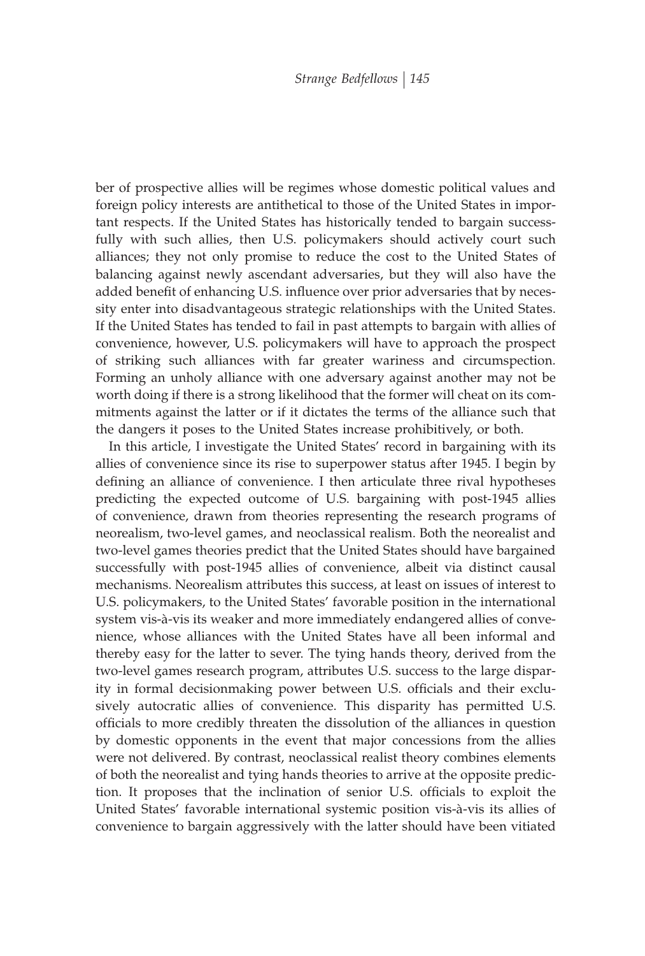ber of prospective allies will be regimes whose domestic political values and foreign policy interests are antithetical to those of the United States in important respects. If the United States has historically tended to bargain successfully with such allies, then U.S. policymakers should actively court such alliances; they not only promise to reduce the cost to the United States of balancing against newly ascendant adversaries, but they will also have the added benefit of enhancing U.S. influence over prior adversaries that by necessity enter into disadvantageous strategic relationships with the United States. If the United States has tended to fail in past attempts to bargain with allies of convenience, however, U.S. policymakers will have to approach the prospect of striking such alliances with far greater wariness and circumspection. Forming an unholy alliance with one adversary against another may not be worth doing if there is a strong likelihood that the former will cheat on its commitments against the latter or if it dictates the terms of the alliance such that the dangers it poses to the United States increase prohibitively, or both.

In this article, I investigate the United States' record in bargaining with its allies of convenience since its rise to superpower status after 1945. I begin by defining an alliance of convenience. I then articulate three rival hypotheses predicting the expected outcome of U.S. bargaining with post-1945 allies of convenience, drawn from theories representing the research programs of neorealism, two-level games, and neoclassical realism. Both the neorealist and two-level games theories predict that the United States should have bargained successfully with post-1945 allies of convenience, albeit via distinct causal mechanisms. Neorealism attributes this success, at least on issues of interest to U.S. policymakers, to the United States' favorable position in the international system vis-à-vis its weaker and more immediately endangered allies of convenience, whose alliances with the United States have all been informal and thereby easy for the latter to sever. The tying hands theory, derived from the two-level games research program, attributes U.S. success to the large disparity in formal decisionmaking power between U.S. officials and their exclusively autocratic allies of convenience. This disparity has permitted U.S. officials to more credibly threaten the dissolution of the alliances in question by domestic opponents in the event that major concessions from the allies were not delivered. By contrast, neoclassical realist theory combines elements of both the neorealist and tying hands theories to arrive at the opposite prediction. It proposes that the inclination of senior U.S. officials to exploit the United States' favorable international systemic position vis-à-vis its allies of convenience to bargain aggressively with the latter should have been vitiated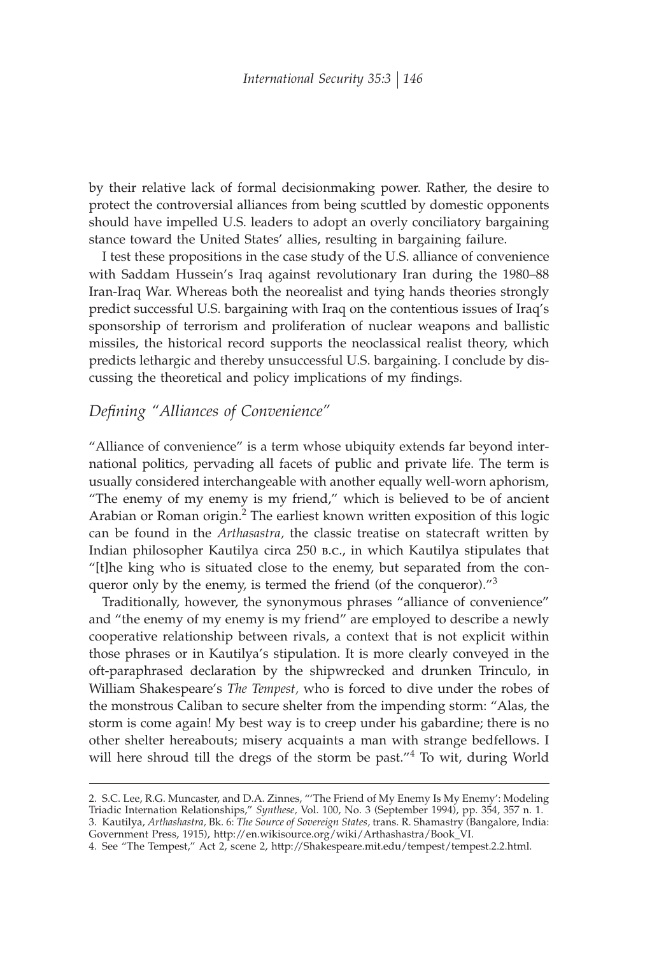by their relative lack of formal decisionmaking power. Rather, the desire to protect the controversial alliances from being scuttled by domestic opponents should have impelled U.S. leaders to adopt an overly conciliatory bargaining stance toward the United States' allies, resulting in bargaining failure.

I test these propositions in the case study of the U.S. alliance of convenience with Saddam Hussein's Iraq against revolutionary Iran during the 1980–88 Iran-Iraq War. Whereas both the neorealist and tying hands theories strongly predict successful U.S. bargaining with Iraq on the contentious issues of Iraq's sponsorship of terrorism and proliferation of nuclear weapons and ballistic missiles, the historical record supports the neoclassical realist theory, which predicts lethargic and thereby unsuccessful U.S. bargaining. I conclude by discussing the theoretical and policy implications of my findings.

# *Defining "Alliances of Convenience"*

"Alliance of convenience" is a term whose ubiquity extends far beyond international politics, pervading all facets of public and private life. The term is usually considered interchangeable with another equally well-worn aphorism, "The enemy of my enemy is my friend," which is believed to be of ancient Arabian or Roman origin.<sup>2</sup> The earliest known written exposition of this logic can be found in the *Arthasastra,* the classic treatise on statecraft written by Indian philosopher Kautilya circa 250 b.c., in which Kautilya stipulates that "[t]he king who is situated close to the enemy, but separated from the conqueror only by the enemy, is termed the friend (of the conqueror)."<sup>3</sup>

Traditionally, however, the synonymous phrases "alliance of convenience" and "the enemy of my enemy is my friend" are employed to describe a newly cooperative relationship between rivals, a context that is not explicit within those phrases or in Kautilya's stipulation. It is more clearly conveyed in the oft-paraphrased declaration by the shipwrecked and drunken Trinculo, in William Shakespeare's *The Tempest,* who is forced to dive under the robes of the monstrous Caliban to secure shelter from the impending storm: "Alas, the storm is come again! My best way is to creep under his gabardine; there is no other shelter hereabouts; misery acquaints a man with strange bedfellows. I will here shroud till the dregs of the storm be past."4 To wit, during World

<sup>2.</sup> S.C. Lee, R.G. Muncaster, and D.A. Zinnes, "'The Friend of My Enemy Is My Enemy': Modeling Triadic Internation Relationships," *Synthese,* Vol. 100, No. 3 (September 1994), pp. 354, 357 n. 1. 3. Kautilya, *Arthashastra,* Bk. 6: *The Source of Sovereign States,* trans. R. Shamastry (Bangalore, India: Government Press, 1915), http://en.wikisource.org/wiki/Arthashastra/Book\_VI.

<sup>4.</sup> See "The Tempest," Act 2, scene 2, http://Shakespeare.mit.edu/tempest/tempest.2.2.html.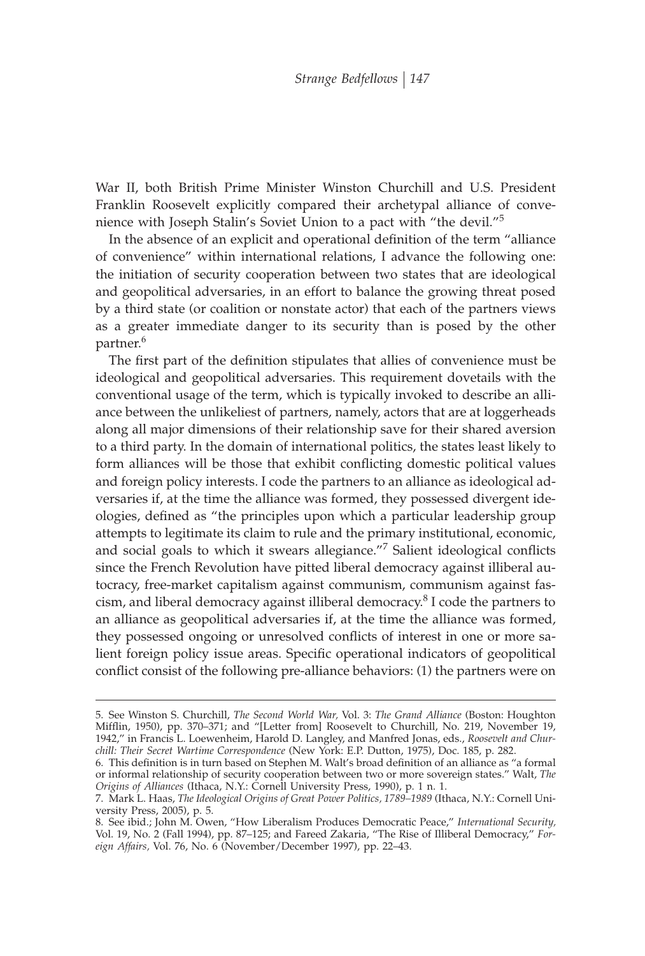War II, both British Prime Minister Winston Churchill and U.S. President Franklin Roosevelt explicitly compared their archetypal alliance of convenience with Joseph Stalin's Soviet Union to a pact with "the devil."<sup>5</sup>

In the absence of an explicit and operational definition of the term "alliance of convenience" within international relations, I advance the following one: the initiation of security cooperation between two states that are ideological and geopolitical adversaries, in an effort to balance the growing threat posed by a third state (or coalition or nonstate actor) that each of the partners views as a greater immediate danger to its security than is posed by the other partner.<sup>6</sup>

The first part of the definition stipulates that allies of convenience must be ideological and geopolitical adversaries. This requirement dovetails with the conventional usage of the term, which is typically invoked to describe an alliance between the unlikeliest of partners, namely, actors that are at loggerheads along all major dimensions of their relationship save for their shared aversion to a third party. In the domain of international politics, the states least likely to form alliances will be those that exhibit conflicting domestic political values and foreign policy interests. I code the partners to an alliance as ideological adversaries if, at the time the alliance was formed, they possessed divergent ideologies, defined as "the principles upon which a particular leadership group attempts to legitimate its claim to rule and the primary institutional, economic, and social goals to which it swears allegiance."<sup>7</sup> Salient ideological conflicts since the French Revolution have pitted liberal democracy against illiberal autocracy, free-market capitalism against communism, communism against fascism, and liberal democracy against illiberal democracy.<sup>8</sup> I code the partners to an alliance as geopolitical adversaries if, at the time the alliance was formed, they possessed ongoing or unresolved conflicts of interest in one or more salient foreign policy issue areas. Specific operational indicators of geopolitical conflict consist of the following pre-alliance behaviors: (1) the partners were on

<sup>5.</sup> See Winston S. Churchill, *The Second World War,* Vol. 3: *The Grand Alliance* (Boston: Houghton Mifflin, 1950), pp. 370–371; and "[Letter from] Roosevelt to Churchill, No. 219, November 19, 1942," in Francis L. Loewenheim, Harold D. Langley, and Manfred Jonas, eds., *Roosevelt and Churchill: Their Secret Wartime Correspondence* (New York: E.P. Dutton, 1975), Doc. 185, p. 282.

<sup>6.</sup> This definition is in turn based on Stephen M. Walt's broad definition of an alliance as "a formal or informal relationship of security cooperation between two or more sovereign states." Walt, *The Origins of Alliances* (Ithaca, N.Y.: Cornell University Press, 1990), p. 1 n. 1.

<sup>7.</sup> Mark L. Haas, *The Ideological Origins of Great Power Politics, 1789–1989* (Ithaca, N.Y.: Cornell University Press, 2005), p. 5.

<sup>8.</sup> See ibid.; John M. Owen, "How Liberalism Produces Democratic Peace," *International Security,* Vol. 19, No. 2 (Fall 1994), pp. 87–125; and Fareed Zakaria, "The Rise of Illiberal Democracy," *Foreign Affairs,* Vol. 76, No. 6 (November/December 1997), pp. 22–43.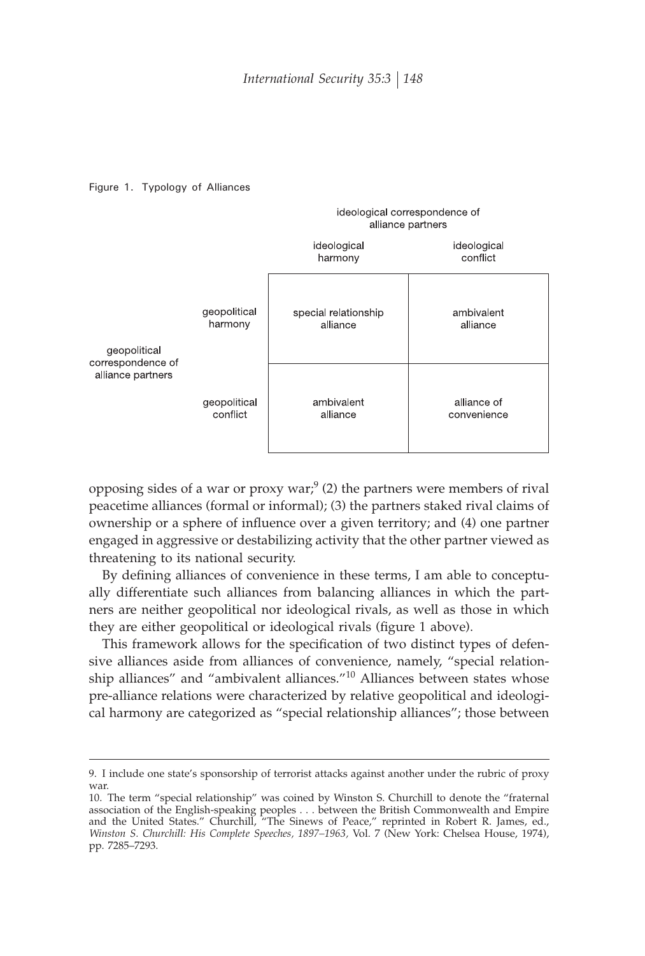



opposing sides of a war or proxy war;  $(2)$  the partners were members of rival peacetime alliances (formal or informal); (3) the partners staked rival claims of ownership or a sphere of influence over a given territory; and (4) one partner engaged in aggressive or destabilizing activity that the other partner viewed as threatening to its national security.

By defining alliances of convenience in these terms, I am able to conceptually differentiate such alliances from balancing alliances in which the partners are neither geopolitical nor ideological rivals, as well as those in which they are either geopolitical or ideological rivals (figure 1 above).

This framework allows for the specification of two distinct types of defensive alliances aside from alliances of convenience, namely, "special relationship alliances" and "ambivalent alliances."<sup>10</sup> Alliances between states whose pre-alliance relations were characterized by relative geopolitical and ideological harmony are categorized as "special relationship alliances"; those between

<sup>9.</sup> I include one state's sponsorship of terrorist attacks against another under the rubric of proxy war.

<sup>10.</sup> The term "special relationship" was coined by Winston S. Churchill to denote the "fraternal association of the English-speaking peoples . . . between the British Commonwealth and Empire and the United States." Churchill, "The Sinews of Peace," reprinted in Robert R. James, ed., *Winston S. Churchill: His Complete Speeches, 1897–1963,* Vol. 7 (New York: Chelsea House, 1974), pp. 7285–7293.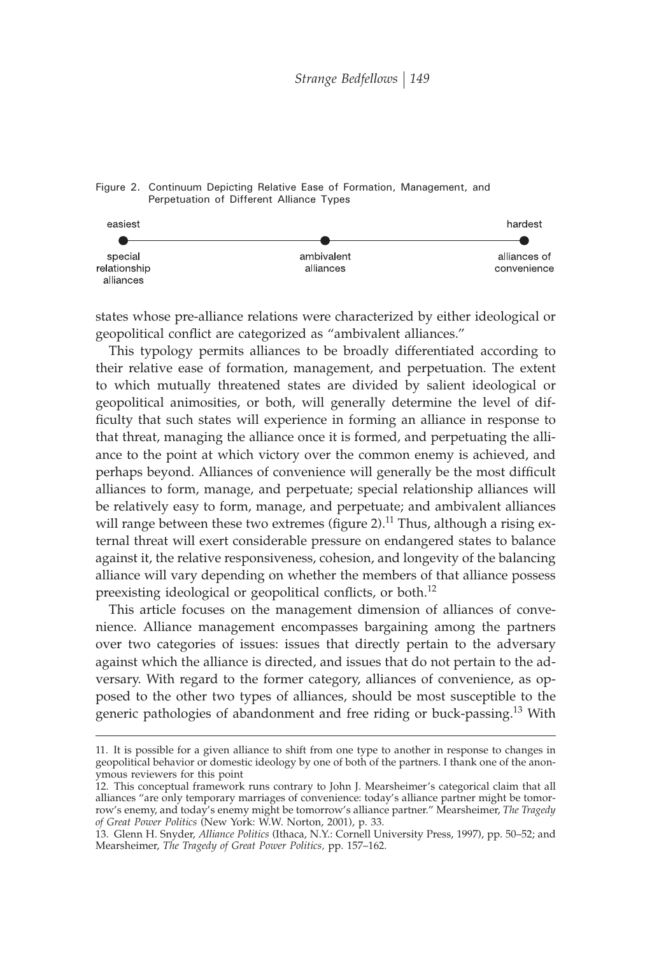

Figure 2. Continuum Depicting Relative Ease of Formation, Management, and

states whose pre-alliance relations were characterized by either ideological or geopolitical conflict are categorized as "ambivalent alliances."

This typology permits alliances to be broadly differentiated according to their relative ease of formation, management, and perpetuation. The extent to which mutually threatened states are divided by salient ideological or geopolitical animosities, or both, will generally determine the level of difficulty that such states will experience in forming an alliance in response to that threat, managing the alliance once it is formed, and perpetuating the alliance to the point at which victory over the common enemy is achieved, and perhaps beyond. Alliances of convenience will generally be the most difficult alliances to form, manage, and perpetuate; special relationship alliances will be relatively easy to form, manage, and perpetuate; and ambivalent alliances will range between these two extremes (figure 2).<sup>11</sup> Thus, although a rising external threat will exert considerable pressure on endangered states to balance against it, the relative responsiveness, cohesion, and longevity of the balancing alliance will vary depending on whether the members of that alliance possess preexisting ideological or geopolitical conflicts, or both. $^{12}$ 

This article focuses on the management dimension of alliances of convenience. Alliance management encompasses bargaining among the partners over two categories of issues: issues that directly pertain to the adversary against which the alliance is directed, and issues that do not pertain to the adversary. With regard to the former category, alliances of convenience, as opposed to the other two types of alliances, should be most susceptible to the generic pathologies of abandonment and free riding or buck-passing.<sup>13</sup> With

<sup>11.</sup> It is possible for a given alliance to shift from one type to another in response to changes in geopolitical behavior or domestic ideology by one of both of the partners. I thank one of the anonymous reviewers for this point

<sup>12.</sup> This conceptual framework runs contrary to John J. Mearsheimer's categorical claim that all alliances "are only temporary marriages of convenience: today's alliance partner might be tomorrow's enemy, and today's enemy might be tomorrow's alliance partner." Mearsheimer, *The Tragedy of Great Power Politics* (New York: W.W. Norton, 2001), p. 33.

<sup>13.</sup> Glenn H. Snyder, *Alliance Politics* (Ithaca, N.Y.: Cornell University Press, 1997), pp. 50–52; and Mearsheimer, *The Tragedy of Great Power Politics,* pp. 157–162.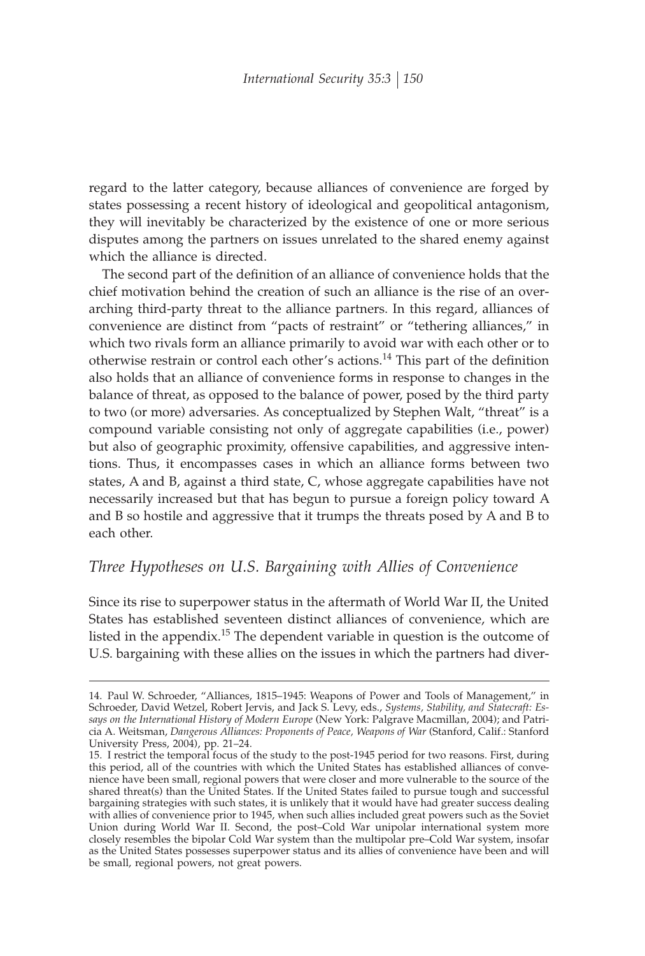regard to the latter category, because alliances of convenience are forged by states possessing a recent history of ideological and geopolitical antagonism, they will inevitably be characterized by the existence of one or more serious disputes among the partners on issues unrelated to the shared enemy against which the alliance is directed.

The second part of the definition of an alliance of convenience holds that the chief motivation behind the creation of such an alliance is the rise of an overarching third-party threat to the alliance partners. In this regard, alliances of convenience are distinct from "pacts of restraint" or "tethering alliances," in which two rivals form an alliance primarily to avoid war with each other or to otherwise restrain or control each other's actions.<sup>14</sup> This part of the definition also holds that an alliance of convenience forms in response to changes in the balance of threat, as opposed to the balance of power, posed by the third party to two (or more) adversaries. As conceptualized by Stephen Walt, "threat" is a compound variable consisting not only of aggregate capabilities (i.e., power) but also of geographic proximity, offensive capabilities, and aggressive intentions. Thus, it encompasses cases in which an alliance forms between two states, A and B, against a third state, C, whose aggregate capabilities have not necessarily increased but that has begun to pursue a foreign policy toward A and B so hostile and aggressive that it trumps the threats posed by A and B to each other.

# *Three Hypotheses on U.S. Bargaining with Allies of Convenience*

Since its rise to superpower status in the aftermath of World War II, the United States has established seventeen distinct alliances of convenience, which are listed in the appendix.<sup>15</sup> The dependent variable in question is the outcome of U.S. bargaining with these allies on the issues in which the partners had diver-

<sup>14.</sup> Paul W. Schroeder, "Alliances, 1815–1945: Weapons of Power and Tools of Management," in Schroeder, David Wetzel, Robert Jervis, and Jack S. Levy, eds., *Systems, Stability, and Statecraft: Essays on the International History of Modern Europe* (New York: Palgrave Macmillan, 2004); and Patricia A. Weitsman, *Dangerous Alliances: Proponents of Peace, Weapons of War* (Stanford, Calif.: Stanford University Press, 2004), pp. 21–24.

<sup>15.</sup> I restrict the temporal focus of the study to the post-1945 period for two reasons. First, during this period, all of the countries with which the United States has established alliances of convenience have been small, regional powers that were closer and more vulnerable to the source of the shared threat(s) than the United States. If the United States failed to pursue tough and successful bargaining strategies with such states, it is unlikely that it would have had greater success dealing with allies of convenience prior to 1945, when such allies included great powers such as the Soviet Union during World War II. Second, the post–Cold War unipolar international system more closely resembles the bipolar Cold War system than the multipolar pre–Cold War system, insofar as the United States possesses superpower status and its allies of convenience have been and will be small, regional powers, not great powers.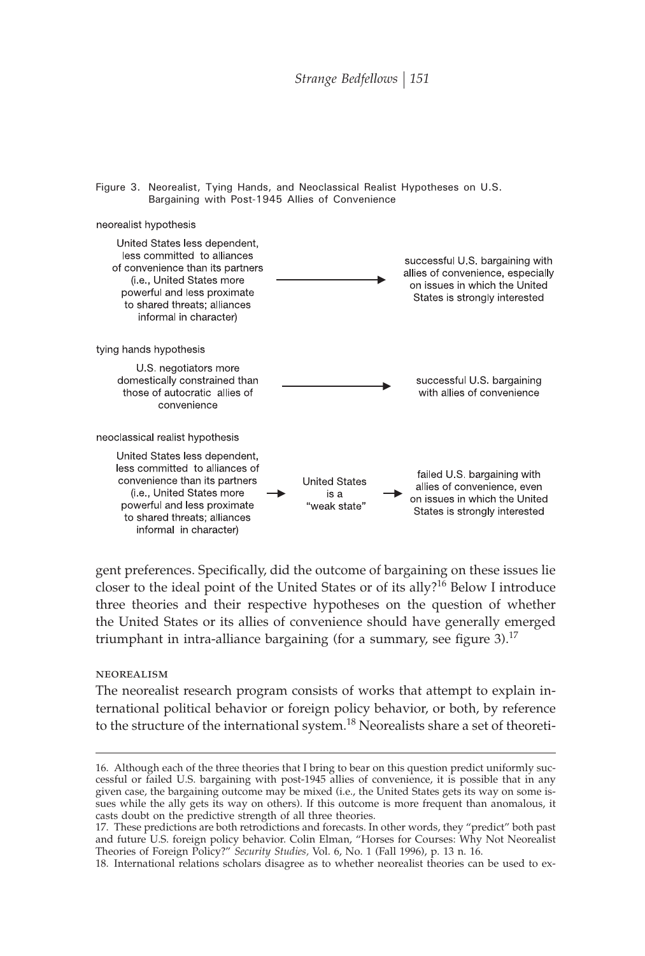



gent preferences. Specifically, did the outcome of bargaining on these issues lie closer to the ideal point of the United States or of its ally?<sup>16</sup> Below I introduce three theories and their respective hypotheses on the question of whether the United States or its allies of convenience should have generally emerged triumphant in intra-alliance bargaining (for a summary, see figure 3).<sup>17</sup>

#### neorealism

The neorealist research program consists of works that attempt to explain international political behavior or foreign policy behavior, or both, by reference to the structure of the international system.<sup>18</sup> Neorealists share a set of theoreti-

<sup>16.</sup> Although each of the three theories that I bring to bear on this question predict uniformly successful or failed U.S. bargaining with post-1945 allies of convenience, it is possible that in any given case, the bargaining outcome may be mixed (i.e., the United States gets its way on some issues while the ally gets its way on others). If this outcome is more frequent than anomalous, it casts doubt on the predictive strength of all three theories.

<sup>17.</sup> These predictions are both retrodictions and forecasts. In other words, they "predict" both past and future U.S. foreign policy behavior. Colin Elman, "Horses for Courses: Why Not Neorealist Theories of Foreign Policy?" *Security Studies,* Vol. 6, No. 1 (Fall 1996), p. 13 n. 16.

<sup>18.</sup> International relations scholars disagree as to whether neorealist theories can be used to ex-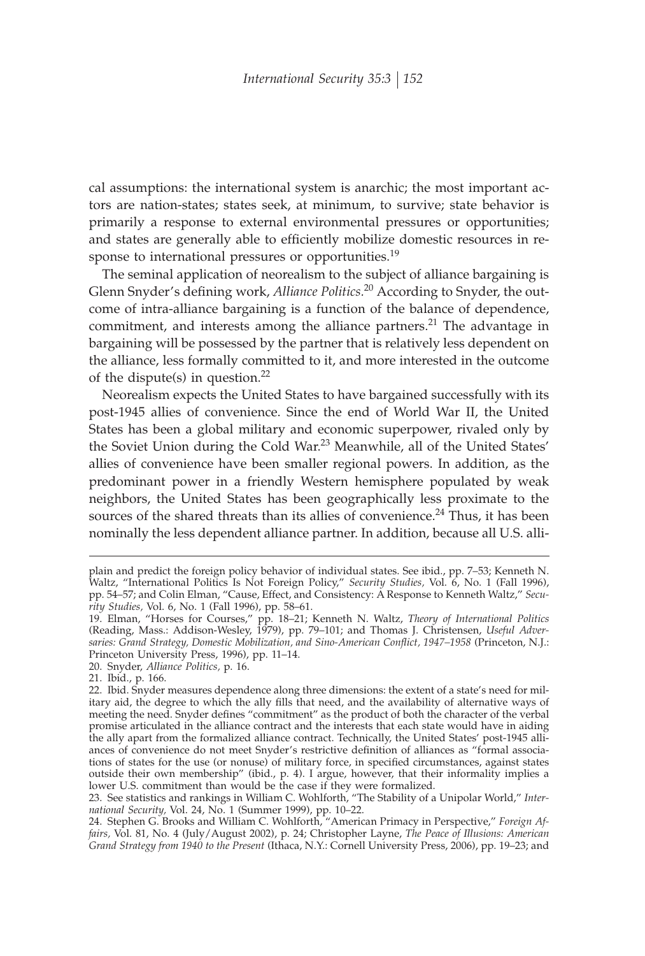cal assumptions: the international system is anarchic; the most important actors are nation-states; states seek, at minimum, to survive; state behavior is primarily a response to external environmental pressures or opportunities; and states are generally able to efficiently mobilize domestic resources in response to international pressures or opportunities.<sup>19</sup>

The seminal application of neorealism to the subject of alliance bargaining is Glenn Snyder's defining work, *Alliance Politics*.<sup>20</sup> According to Snyder, the outcome of intra-alliance bargaining is a function of the balance of dependence, commitment, and interests among the alliance partners.<sup>21</sup> The advantage in bargaining will be possessed by the partner that is relatively less dependent on the alliance, less formally committed to it, and more interested in the outcome of the dispute(s) in question.<sup>22</sup>

Neorealism expects the United States to have bargained successfully with its post-1945 allies of convenience. Since the end of World War II, the United States has been a global military and economic superpower, rivaled only by the Soviet Union during the Cold War.<sup>23</sup> Meanwhile, all of the United States' allies of convenience have been smaller regional powers. In addition, as the predominant power in a friendly Western hemisphere populated by weak neighbors, the United States has been geographically less proximate to the sources of the shared threats than its allies of convenience.<sup>24</sup> Thus, it has been nominally the less dependent alliance partner. In addition, because all U.S. alli-

plain and predict the foreign policy behavior of individual states. See ibid., pp. 7–53; Kenneth N. Waltz, "International Politics Is Not Foreign Policy," *Security Studies,* Vol. 6, No. 1 (Fall 1996), pp. 54–57; and Colin Elman, "Cause, Effect, and Consistency: A Response to Kenneth Waltz," *Security Studies,* Vol. 6, No. 1 (Fall 1996), pp. 58–61.

<sup>19.</sup> Elman, "Horses for Courses," pp. 18–21; Kenneth N. Waltz, *Theory of International Politics* (Reading, Mass.: Addison-Wesley, 1979), pp. 79–101; and Thomas J. Christensen, *Useful Adversaries: Grand Strategy, Domestic Mobilization, and Sino-American Conºict, 1947–1958* (Princeton, N.J.: Princeton University Press, 1996), pp. 11–14.

<sup>20.</sup> Snyder, *Alliance Politics,* p. 16.

<sup>21.</sup> Ibid., p. 166.

<sup>22.</sup> Ibid. Snyder measures dependence along three dimensions: the extent of a state's need for military aid, the degree to which the ally fills that need, and the availability of alternative ways of meeting the need. Snyder defines "commitment" as the product of both the character of the verbal promise articulated in the alliance contract and the interests that each state would have in aiding the ally apart from the formalized alliance contract. Technically, the United States' post-1945 alliances of convenience do not meet Snyder's restrictive definition of alliances as "formal associations of states for the use (or nonuse) of military force, in specified circumstances, against states outside their own membership" (ibid., p. 4). I argue, however, that their informality implies a lower U.S. commitment than would be the case if they were formalized.

<sup>23.</sup> See statistics and rankings in William C. Wohlforth, "The Stability of a Unipolar World," *International Security,* Vol. 24, No. 1 (Summer 1999), pp. 10–22.

<sup>24.</sup> Stephen G. Brooks and William C. Wohlforth, "American Primacy in Perspective," *Foreign Affairs,* Vol. 81, No. 4 (July/August 2002), p. 24; Christopher Layne, *The Peace of Illusions: American Grand Strategy from 1940 to the Present* (Ithaca, N.Y.: Cornell University Press, 2006), pp. 19–23; and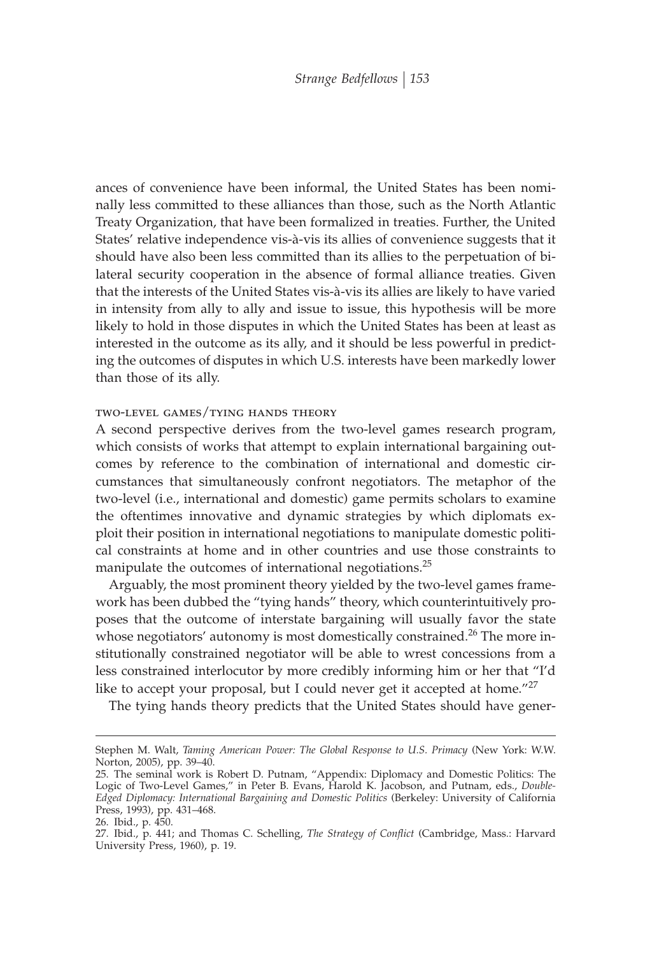ances of convenience have been informal, the United States has been nominally less committed to these alliances than those, such as the North Atlantic Treaty Organization, that have been formalized in treaties. Further, the United States' relative independence vis-à-vis its allies of convenience suggests that it should have also been less committed than its allies to the perpetuation of bilateral security cooperation in the absence of formal alliance treaties. Given that the interests of the United States vis-à-vis its allies are likely to have varied in intensity from ally to ally and issue to issue, this hypothesis will be more likely to hold in those disputes in which the United States has been at least as interested in the outcome as its ally, and it should be less powerful in predicting the outcomes of disputes in which U.S. interests have been markedly lower than those of its ally.

#### two-level games/tying hands theory

A second perspective derives from the two-level games research program, which consists of works that attempt to explain international bargaining outcomes by reference to the combination of international and domestic circumstances that simultaneously confront negotiators. The metaphor of the two-level (i.e., international and domestic) game permits scholars to examine the oftentimes innovative and dynamic strategies by which diplomats exploit their position in international negotiations to manipulate domestic political constraints at home and in other countries and use those constraints to manipulate the outcomes of international negotiations.<sup>25</sup>

Arguably, the most prominent theory yielded by the two-level games framework has been dubbed the "tying hands" theory, which counterintuitively proposes that the outcome of interstate bargaining will usually favor the state whose negotiators' autonomy is most domestically constrained.<sup>26</sup> The more institutionally constrained negotiator will be able to wrest concessions from a less constrained interlocutor by more credibly informing him or her that "I'd like to accept your proposal, but I could never get it accepted at home." $27$ 

The tying hands theory predicts that the United States should have gener-

Stephen M. Walt, *Taming American Power: The Global Response to U.S. Primacy* (New York: W.W. Norton, 2005), pp. 39–40.

<sup>25.</sup> The seminal work is Robert D. Putnam, "Appendix: Diplomacy and Domestic Politics: The Logic of Two-Level Games," in Peter B. Evans, Harold K. Jacobson, and Putnam, eds., *Double-Edged Diplomacy: International Bargaining and Domestic Politics* (Berkeley: University of California Press, 1993), pp. 431–468.

<sup>26.</sup> Ibid., p. 450.

<sup>27.</sup> Ibid., p. 441; and Thomas C. Schelling, *The Strategy of Conflict* (Cambridge, Mass.: Harvard University Press, 1960), p. 19.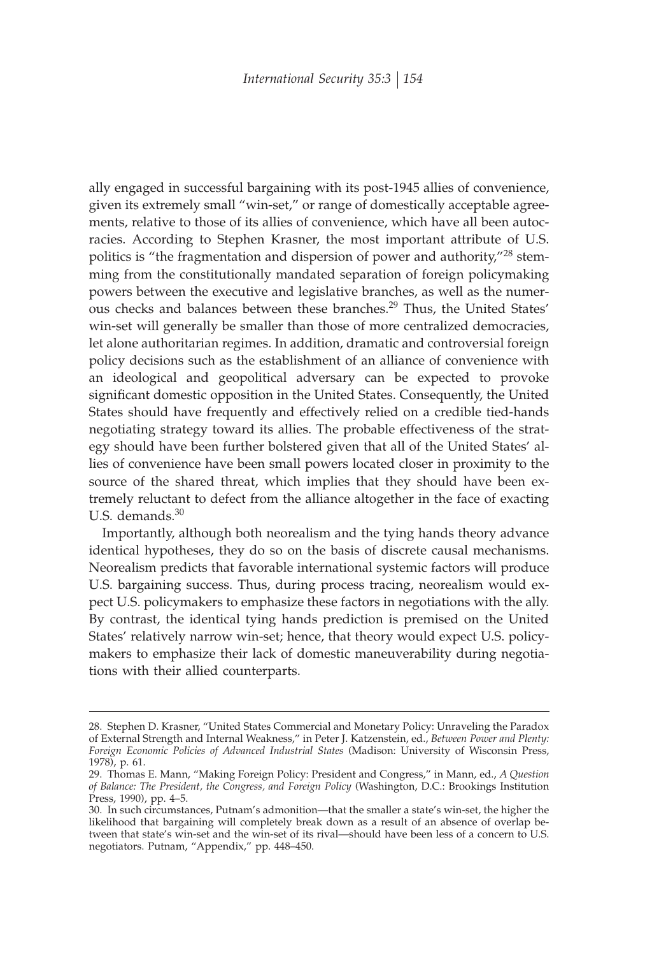ally engaged in successful bargaining with its post-1945 allies of convenience, given its extremely small "win-set," or range of domestically acceptable agreements, relative to those of its allies of convenience, which have all been autocracies. According to Stephen Krasner, the most important attribute of U.S. politics is "the fragmentation and dispersion of power and authority,"<sup>28</sup> stemming from the constitutionally mandated separation of foreign policymaking powers between the executive and legislative branches, as well as the numerous checks and balances between these branches.<sup>29</sup> Thus, the United States' win-set will generally be smaller than those of more centralized democracies, let alone authoritarian regimes. In addition, dramatic and controversial foreign policy decisions such as the establishment of an alliance of convenience with an ideological and geopolitical adversary can be expected to provoke significant domestic opposition in the United States. Consequently, the United States should have frequently and effectively relied on a credible tied-hands negotiating strategy toward its allies. The probable effectiveness of the strategy should have been further bolstered given that all of the United States' allies of convenience have been small powers located closer in proximity to the source of the shared threat, which implies that they should have been extremely reluctant to defect from the alliance altogether in the face of exacting U.S. demands. $30$ 

Importantly, although both neorealism and the tying hands theory advance identical hypotheses, they do so on the basis of discrete causal mechanisms. Neorealism predicts that favorable international systemic factors will produce U.S. bargaining success. Thus, during process tracing, neorealism would expect U.S. policymakers to emphasize these factors in negotiations with the ally. By contrast, the identical tying hands prediction is premised on the United States' relatively narrow win-set; hence, that theory would expect U.S. policymakers to emphasize their lack of domestic maneuverability during negotiations with their allied counterparts.

<sup>28.</sup> Stephen D. Krasner, "United States Commercial and Monetary Policy: Unraveling the Paradox of External Strength and Internal Weakness," in Peter J. Katzenstein, ed., *Between Power and Plenty: Foreign Economic Policies of Advanced Industrial States* (Madison: University of Wisconsin Press, 1978), p. 61.

<sup>29.</sup> Thomas E. Mann, "Making Foreign Policy: President and Congress," in Mann, ed., *A Question of Balance: The President, the Congress, and Foreign Policy* (Washington, D.C.: Brookings Institution Press, 1990), pp. 4–5.

<sup>30.</sup> In such circumstances, Putnam's admonition—that the smaller a state's win-set, the higher the likelihood that bargaining will completely break down as a result of an absence of overlap between that state's win-set and the win-set of its rival—should have been less of a concern to U.S. negotiators. Putnam, "Appendix," pp. 448–450.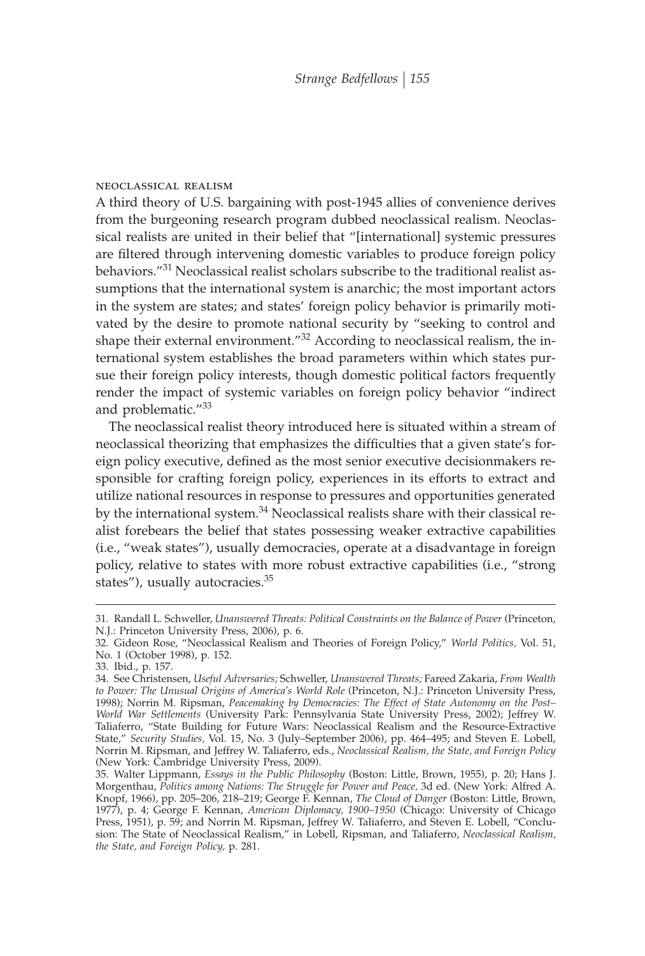#### neoclassical realism

A third theory of U.S. bargaining with post-1945 allies of convenience derives from the burgeoning research program dubbed neoclassical realism. Neoclassical realists are united in their belief that "[international] systemic pressures are filtered through intervening domestic variables to produce foreign policy behaviors."<sup>31</sup> Neoclassical realist scholars subscribe to the traditional realist assumptions that the international system is anarchic; the most important actors in the system are states; and states' foreign policy behavior is primarily motivated by the desire to promote national security by "seeking to control and shape their external environment."32 According to neoclassical realism, the international system establishes the broad parameters within which states pursue their foreign policy interests, though domestic political factors frequently render the impact of systemic variables on foreign policy behavior "indirect and problematic."<sup>33</sup>

The neoclassical realist theory introduced here is situated within a stream of neoclassical theorizing that emphasizes the difficulties that a given state's foreign policy executive, defined as the most senior executive decisionmakers responsible for crafting foreign policy, experiences in its efforts to extract and utilize national resources in response to pressures and opportunities generated by the international system.<sup>34</sup> Neoclassical realists share with their classical realist forebears the belief that states possessing weaker extractive capabilities (i.e., "weak states"), usually democracies, operate at a disadvantage in foreign policy, relative to states with more robust extractive capabilities (i.e., "strong states"), usually autocracies.<sup>35</sup>

<sup>31.</sup> Randall L. Schweller, *Unanswered Threats: Political Constraints on the Balance of Power* (Princeton, N.J.: Princeton University Press, 2006), p. 6.

<sup>32.</sup> Gideon Rose, "Neoclassical Realism and Theories of Foreign Policy," *World Politics,* Vol. 51, No. 1 (October 1998), p. 152.

<sup>33.</sup> Ibid., p. 157.

<sup>34.</sup> See Christensen, *Useful Adversaries;* Schweller, *Unanswered Threats;* Fareed Zakaria, *From Wealth to Power: The Unusual Origins of America's World Role* (Princeton, N.J.: Princeton University Press, 1998); Norrin M. Ripsman, *Peacemaking by Democracies: The Effect of State Autonomy on the Post– World War Settlements* (University Park: Pennsylvania State University Press, 2002); Jeffrey W. Taliaferro, "State Building for Future Wars: Neoclassical Realism and the Resource-Extractive State," *Security Studies,* Vol. 15, No. 3 (July–September 2006), pp. 464–495; and Steven E. Lobell, Norrin M. Ripsman, and Jeffrey W. Taliaferro, eds., *Neoclassical Realism, the State, and Foreign Policy* (New York: Cambridge University Press, 2009).

<sup>35.</sup> Walter Lippmann, *Essays in the Public Philosophy* (Boston: Little, Brown, 1955), p. 20; Hans J. Morgenthau, *Politics among Nations: The Struggle for Power and Peace,* 3d ed. (New York: Alfred A. Knopf, 1966), pp. 205–206, 218–219; George F. Kennan, *The Cloud of Danger* (Boston: Little, Brown, 1977), p. 4; George F. Kennan, *American Diplomacy, 1900–1950* (Chicago: University of Chicago Press, 1951), p. 59; and Norrin M. Ripsman, Jeffrey W. Taliaferro, and Steven E. Lobell, "Conclusion: The State of Neoclassical Realism," in Lobell, Ripsman, and Taliaferro, *Neoclassical Realism, the State, and Foreign Policy,* p. 281.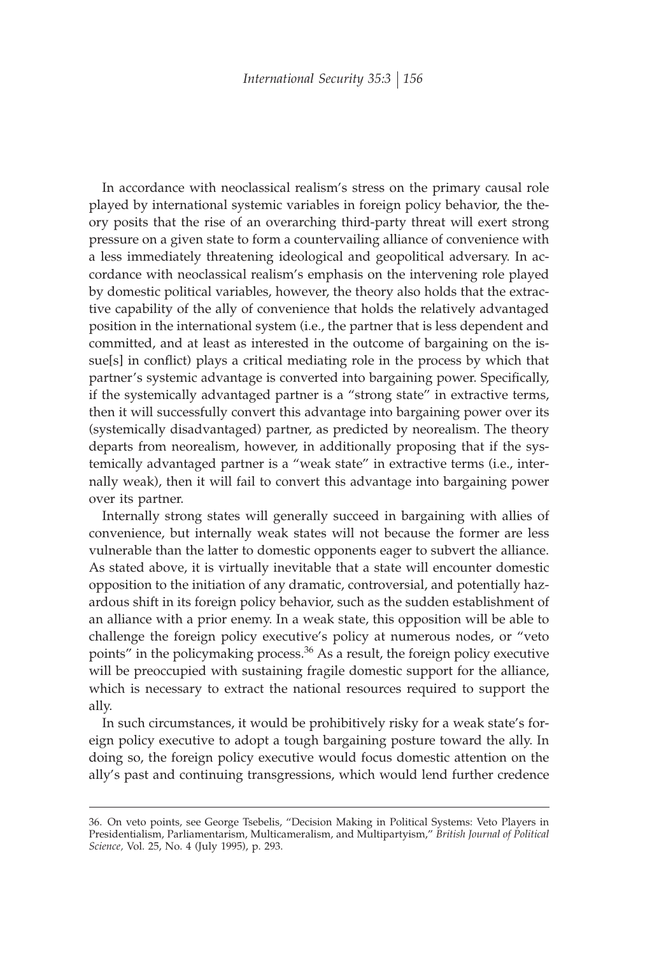In accordance with neoclassical realism's stress on the primary causal role played by international systemic variables in foreign policy behavior, the theory posits that the rise of an overarching third-party threat will exert strong pressure on a given state to form a countervailing alliance of convenience with a less immediately threatening ideological and geopolitical adversary. In accordance with neoclassical realism's emphasis on the intervening role played by domestic political variables, however, the theory also holds that the extractive capability of the ally of convenience that holds the relatively advantaged position in the international system (i.e., the partner that is less dependent and committed, and at least as interested in the outcome of bargaining on the issue[s] in conflict) plays a critical mediating role in the process by which that partner's systemic advantage is converted into bargaining power. Specifically, if the systemically advantaged partner is a "strong state" in extractive terms, then it will successfully convert this advantage into bargaining power over its (systemically disadvantaged) partner, as predicted by neorealism. The theory departs from neorealism, however, in additionally proposing that if the systemically advantaged partner is a "weak state" in extractive terms (i.e., internally weak), then it will fail to convert this advantage into bargaining power over its partner.

Internally strong states will generally succeed in bargaining with allies of convenience, but internally weak states will not because the former are less vulnerable than the latter to domestic opponents eager to subvert the alliance. As stated above, it is virtually inevitable that a state will encounter domestic opposition to the initiation of any dramatic, controversial, and potentially hazardous shift in its foreign policy behavior, such as the sudden establishment of an alliance with a prior enemy. In a weak state, this opposition will be able to challenge the foreign policy executive's policy at numerous nodes, or "veto points" in the policymaking process.<sup>36</sup> As a result, the foreign policy executive will be preoccupied with sustaining fragile domestic support for the alliance, which is necessary to extract the national resources required to support the ally.

In such circumstances, it would be prohibitively risky for a weak state's foreign policy executive to adopt a tough bargaining posture toward the ally. In doing so, the foreign policy executive would focus domestic attention on the ally's past and continuing transgressions, which would lend further credence

<sup>36.</sup> On veto points, see George Tsebelis, "Decision Making in Political Systems: Veto Players in Presidentialism, Parliamentarism, Multicameralism, and Multipartyism," *British Journal of Political Science,* Vol. 25, No. 4 (July 1995), p. 293.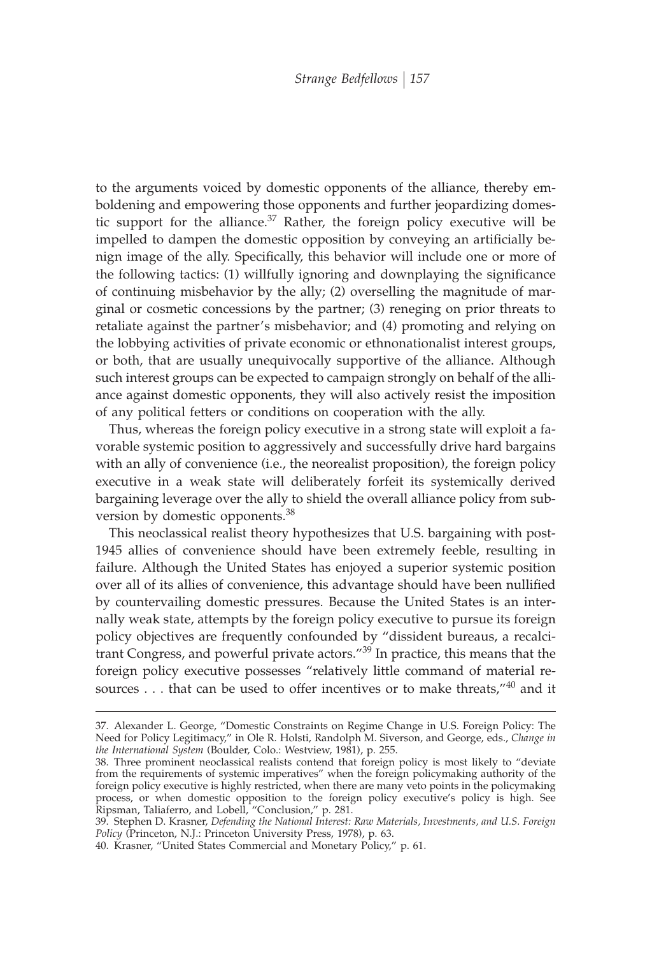to the arguments voiced by domestic opponents of the alliance, thereby emboldening and empowering those opponents and further jeopardizing domestic support for the alliance. $37$  Rather, the foreign policy executive will be impelled to dampen the domestic opposition by conveying an artificially benign image of the ally. Specifically, this behavior will include one or more of the following tactics: (1) willfully ignoring and downplaying the significance of continuing misbehavior by the ally; (2) overselling the magnitude of marginal or cosmetic concessions by the partner; (3) reneging on prior threats to retaliate against the partner's misbehavior; and (4) promoting and relying on the lobbying activities of private economic or ethnonationalist interest groups, or both, that are usually unequivocally supportive of the alliance. Although such interest groups can be expected to campaign strongly on behalf of the alliance against domestic opponents, they will also actively resist the imposition of any political fetters or conditions on cooperation with the ally.

Thus, whereas the foreign policy executive in a strong state will exploit a favorable systemic position to aggressively and successfully drive hard bargains with an ally of convenience (i.e., the neorealist proposition), the foreign policy executive in a weak state will deliberately forfeit its systemically derived bargaining leverage over the ally to shield the overall alliance policy from subversion by domestic opponents.<sup>38</sup>

This neoclassical realist theory hypothesizes that U.S. bargaining with post-1945 allies of convenience should have been extremely feeble, resulting in failure. Although the United States has enjoyed a superior systemic position over all of its allies of convenience, this advantage should have been nullified by countervailing domestic pressures. Because the United States is an internally weak state, attempts by the foreign policy executive to pursue its foreign policy objectives are frequently confounded by "dissident bureaus, a recalcitrant Congress, and powerful private actors."<sup>39</sup> In practice, this means that the foreign policy executive possesses "relatively little command of material resources . . . that can be used to offer incentives or to make threats,"40 and it

<sup>37.</sup> Alexander L. George, "Domestic Constraints on Regime Change in U.S. Foreign Policy: The Need for Policy Legitimacy," in Ole R. Holsti, Randolph M. Siverson, and George, eds., *Change in the International System* (Boulder, Colo.: Westview, 1981), p. 255.

<sup>38.</sup> Three prominent neoclassical realists contend that foreign policy is most likely to "deviate from the requirements of systemic imperatives" when the foreign policymaking authority of the foreign policy executive is highly restricted, when there are many veto points in the policymaking process, or when domestic opposition to the foreign policy executive's policy is high. See Ripsman, Taliaferro, and Lobell, "Conclusion," p. 281.

<sup>39.</sup> Stephen D. Krasner, *Defending the National Interest: Raw Materials, Investments, and U.S. Foreign Policy* (Princeton, N.J.: Princeton University Press, 1978), p. 63.

<sup>40.</sup> Krasner, "United States Commercial and Monetary Policy," p. 61.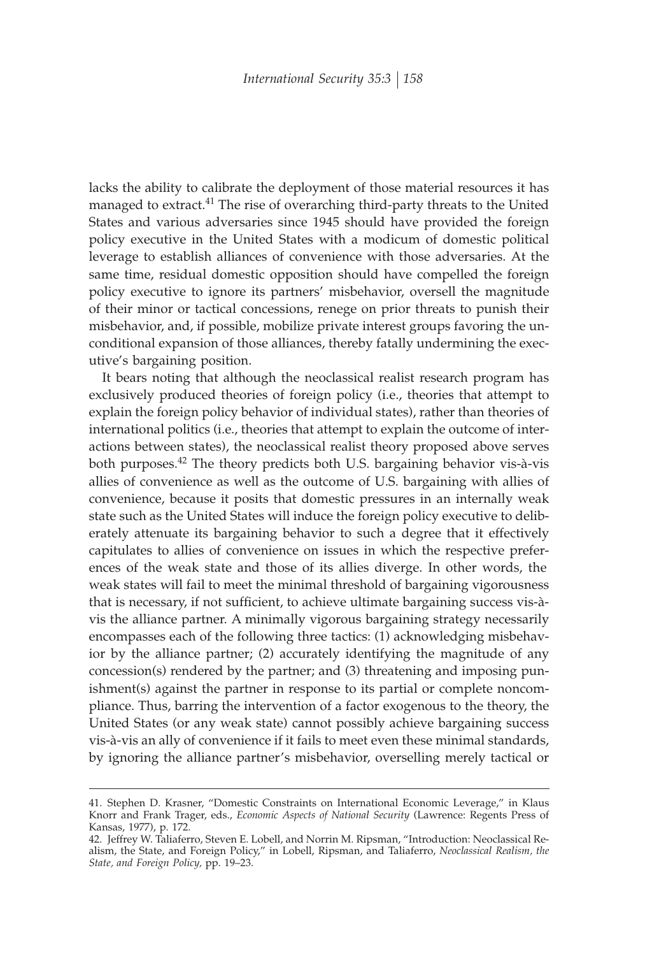lacks the ability to calibrate the deployment of those material resources it has managed to extract.<sup>41</sup> The rise of overarching third-party threats to the United States and various adversaries since 1945 should have provided the foreign policy executive in the United States with a modicum of domestic political leverage to establish alliances of convenience with those adversaries. At the same time, residual domestic opposition should have compelled the foreign policy executive to ignore its partners' misbehavior, oversell the magnitude of their minor or tactical concessions, renege on prior threats to punish their misbehavior, and, if possible, mobilize private interest groups favoring the unconditional expansion of those alliances, thereby fatally undermining the executive's bargaining position.

It bears noting that although the neoclassical realist research program has exclusively produced theories of foreign policy (i.e., theories that attempt to explain the foreign policy behavior of individual states), rather than theories of international politics (i.e., theories that attempt to explain the outcome of interactions between states), the neoclassical realist theory proposed above serves both purposes.<sup>42</sup> The theory predicts both U.S. bargaining behavior vis-à-vis allies of convenience as well as the outcome of U.S. bargaining with allies of convenience, because it posits that domestic pressures in an internally weak state such as the United States will induce the foreign policy executive to deliberately attenuate its bargaining behavior to such a degree that it effectively capitulates to allies of convenience on issues in which the respective preferences of the weak state and those of its allies diverge. In other words, the weak states will fail to meet the minimal threshold of bargaining vigorousness that is necessary, if not sufficient, to achieve ultimate bargaining success vis-àvis the alliance partner. A minimally vigorous bargaining strategy necessarily encompasses each of the following three tactics: (1) acknowledging misbehavior by the alliance partner; (2) accurately identifying the magnitude of any concession(s) rendered by the partner; and (3) threatening and imposing punishment(s) against the partner in response to its partial or complete noncompliance. Thus, barring the intervention of a factor exogenous to the theory, the United States (or any weak state) cannot possibly achieve bargaining success vis-à-vis an ally of convenience if it fails to meet even these minimal standards, by ignoring the alliance partner's misbehavior, overselling merely tactical or

<sup>41.</sup> Stephen D. Krasner, "Domestic Constraints on International Economic Leverage," in Klaus Knorr and Frank Trager, eds., *Economic Aspects of National Security* (Lawrence: Regents Press of Kansas, 1977), p. 172.

<sup>42.</sup> Jeffrey W. Taliaferro, Steven E. Lobell, and Norrin M. Ripsman, "Introduction: Neoclassical Realism, the State, and Foreign Policy," in Lobell, Ripsman, and Taliaferro, *Neoclassical Realism, the State, and Foreign Policy,* pp. 19–23.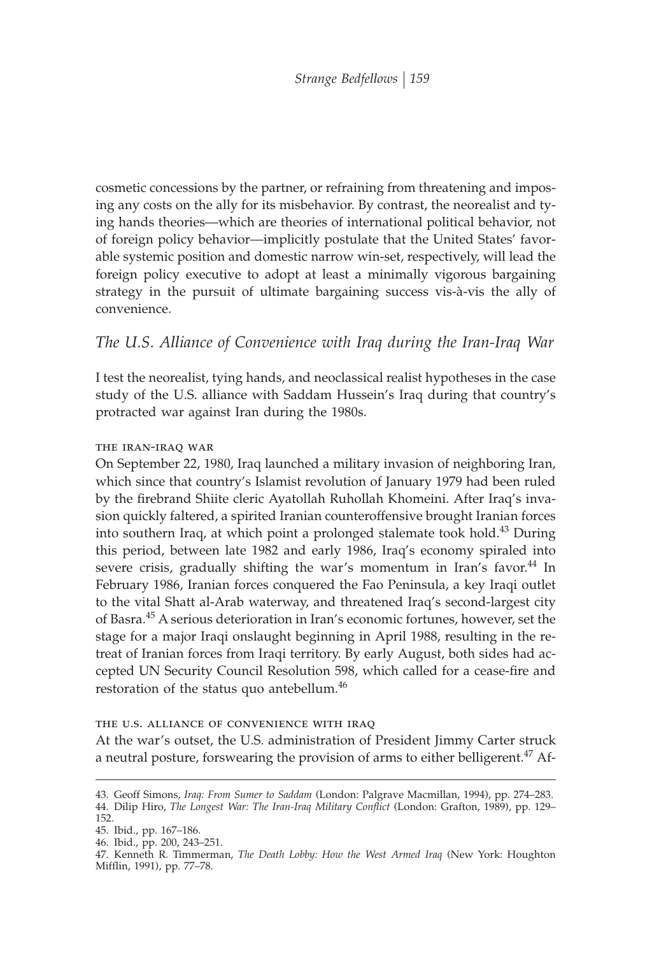cosmetic concessions by the partner, or refraining from threatening and imposing any costs on the ally for its misbehavior. By contrast, the neorealist and tying hands theories—which are theories of international political behavior, not of foreign policy behavior—implicitly postulate that the United States' favorable systemic position and domestic narrow win-set, respectively, will lead the foreign policy executive to adopt at least a minimally vigorous bargaining strategy in the pursuit of ultimate bargaining success vis-à-vis the ally of convenience.

### *The U.S. Alliance of Convenience with Iraq during the Iran-Iraq War*

I test the neorealist, tying hands, and neoclassical realist hypotheses in the case study of the U.S. alliance with Saddam Hussein's Iraq during that country's protracted war against Iran during the 1980s.

#### the iran-iraq war

On September 22, 1980, Iraq launched a military invasion of neighboring Iran, which since that country's Islamist revolution of January 1979 had been ruled by the firebrand Shiite cleric Ayatollah Ruhollah Khomeini. After Iraq's invasion quickly faltered, a spirited Iranian counteroffensive brought Iranian forces into southern Iraq, at which point a prolonged stalemate took hold.<sup>43</sup> During this period, between late 1982 and early 1986, Iraq's economy spiraled into severe crisis, gradually shifting the war's momentum in Iran's favor.<sup>44</sup> In February 1986, Iranian forces conquered the Fao Peninsula, a key Iraqi outlet to the vital Shatt al-Arab waterway, and threatened Iraq's second-largest city of Basra.45 A serious deterioration in Iran's economic fortunes, however, set the stage for a major Iraqi onslaught beginning in April 1988, resulting in the retreat of Iranian forces from Iraqi territory. By early August, both sides had accepted UN Security Council Resolution 598, which called for a cease-fire and restoration of the status quo antebellum.<sup>46</sup>

#### the u.s. alliance of convenience with iraq

At the war's outset, the U.S. administration of President Jimmy Carter struck a neutral posture, forswearing the provision of arms to either belligerent.<sup>47</sup> Af-

<sup>43.</sup> Geoff Simons, *Iraq: From Sumer to Saddam* (London: Palgrave Macmillan, 1994), pp. 274–283. 44. Dilip Hiro, *The Longest War: The Iran-Iraq Military Conflict* (London: Grafton, 1989), pp. 129-152.

<sup>45.</sup> Ibid., pp. 167–186.

<sup>46.</sup> Ibid., pp. 200, 243–251.

<sup>47.</sup> Kenneth R. Timmerman, *The Death Lobby: How the West Armed Iraq* (New York: Houghton Mifflin, 1991), pp. 77-78.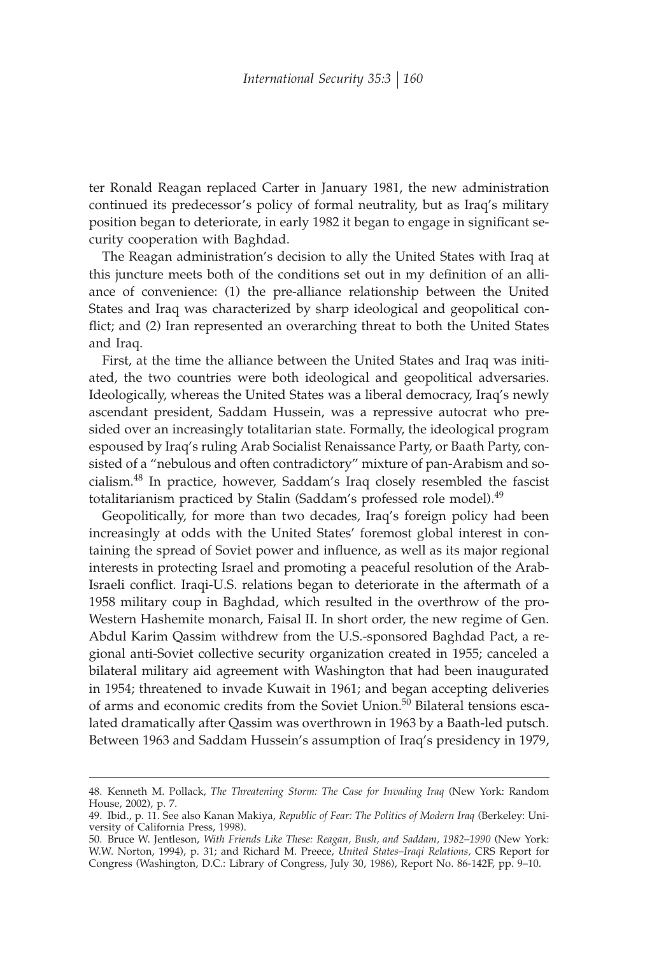ter Ronald Reagan replaced Carter in January 1981, the new administration continued its predecessor's policy of formal neutrality, but as Iraq's military position began to deteriorate, in early 1982 it began to engage in significant security cooperation with Baghdad.

The Reagan administration's decision to ally the United States with Iraq at this juncture meets both of the conditions set out in my definition of an alliance of convenience: (1) the pre-alliance relationship between the United States and Iraq was characterized by sharp ideological and geopolitical conflict; and (2) Iran represented an overarching threat to both the United States and Iraq.

First, at the time the alliance between the United States and Iraq was initiated, the two countries were both ideological and geopolitical adversaries. Ideologically, whereas the United States was a liberal democracy, Iraq's newly ascendant president, Saddam Hussein, was a repressive autocrat who presided over an increasingly totalitarian state. Formally, the ideological program espoused by Iraq's ruling Arab Socialist Renaissance Party, or Baath Party, consisted of a "nebulous and often contradictory" mixture of pan-Arabism and socialism.<sup>48</sup> In practice, however, Saddam's Iraq closely resembled the fascist totalitarianism practiced by Stalin (Saddam's professed role model).<sup>49</sup>

Geopolitically, for more than two decades, Iraq's foreign policy had been increasingly at odds with the United States' foremost global interest in containing the spread of Soviet power and influence, as well as its major regional interests in protecting Israel and promoting a peaceful resolution of the Arab-Israeli conflict. Iraqi-U.S. relations began to deteriorate in the aftermath of a 1958 military coup in Baghdad, which resulted in the overthrow of the pro-Western Hashemite monarch, Faisal II. In short order, the new regime of Gen. Abdul Karim Qassim withdrew from the U.S.-sponsored Baghdad Pact, a regional anti-Soviet collective security organization created in 1955; canceled a bilateral military aid agreement with Washington that had been inaugurated in 1954; threatened to invade Kuwait in 1961; and began accepting deliveries of arms and economic credits from the Soviet Union.<sup>50</sup> Bilateral tensions escalated dramatically after Qassim was overthrown in 1963 by a Baath-led putsch. Between 1963 and Saddam Hussein's assumption of Iraq's presidency in 1979,

<sup>48.</sup> Kenneth M. Pollack, *The Threatening Storm: The Case for Invading Iraq* (New York: Random House, 2002), p. 7.

<sup>49.</sup> Ibid., p. 11. See also Kanan Makiya, *Republic of Fear: The Politics of Modern Iraq* (Berkeley: University of California Press, 1998).

<sup>50.</sup> Bruce W. Jentleson, *With Friends Like These: Reagan, Bush, and Saddam, 1982–1990* (New York: W.W. Norton, 1994), p. 31; and Richard M. Preece, *United States–Iraqi Relations,* CRS Report for Congress (Washington, D.C.: Library of Congress, July 30, 1986), Report No. 86-142F, pp. 9–10.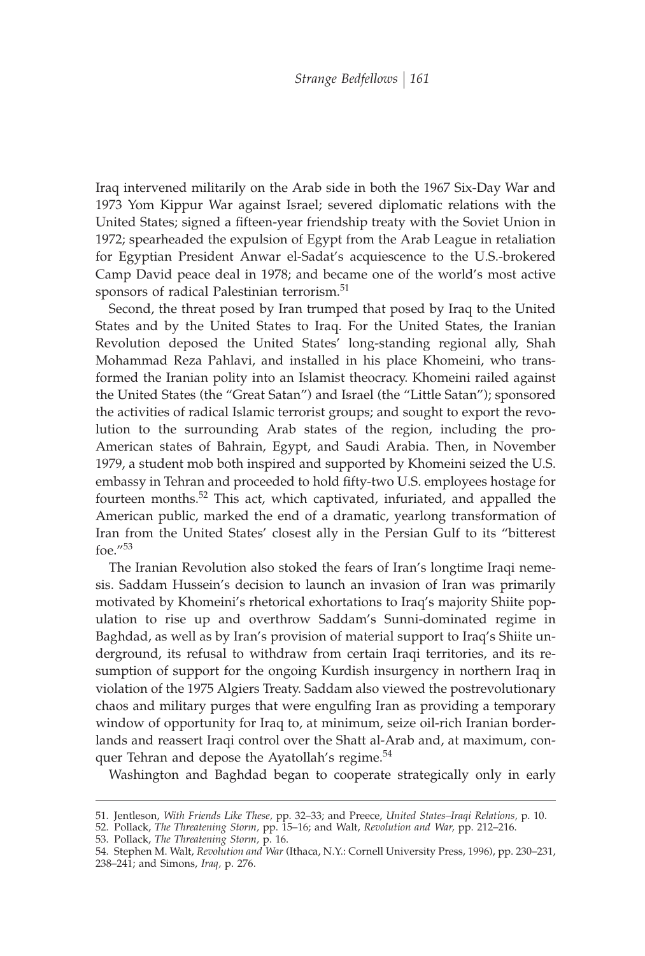Iraq intervened militarily on the Arab side in both the 1967 Six-Day War and 1973 Yom Kippur War against Israel; severed diplomatic relations with the United States; signed a fifteen-year friendship treaty with the Soviet Union in 1972; spearheaded the expulsion of Egypt from the Arab League in retaliation for Egyptian President Anwar el-Sadat's acquiescence to the U.S.-brokered Camp David peace deal in 1978; and became one of the world's most active sponsors of radical Palestinian terrorism.<sup>51</sup>

Second, the threat posed by Iran trumped that posed by Iraq to the United States and by the United States to Iraq. For the United States, the Iranian Revolution deposed the United States' long-standing regional ally, Shah Mohammad Reza Pahlavi, and installed in his place Khomeini, who transformed the Iranian polity into an Islamist theocracy. Khomeini railed against the United States (the "Great Satan") and Israel (the "Little Satan"); sponsored the activities of radical Islamic terrorist groups; and sought to export the revolution to the surrounding Arab states of the region, including the pro-American states of Bahrain, Egypt, and Saudi Arabia. Then, in November 1979, a student mob both inspired and supported by Khomeini seized the U.S. embassy in Tehran and proceeded to hold fifty-two U.S. employees hostage for fourteen months.<sup>52</sup> This act, which captivated, infuriated, and appalled the American public, marked the end of a dramatic, yearlong transformation of Iran from the United States' closest ally in the Persian Gulf to its "bitterest foe. $^{\prime\prime}$ <sup>53</sup>

The Iranian Revolution also stoked the fears of Iran's longtime Iraqi nemesis. Saddam Hussein's decision to launch an invasion of Iran was primarily motivated by Khomeini's rhetorical exhortations to Iraq's majority Shiite population to rise up and overthrow Saddam's Sunni-dominated regime in Baghdad, as well as by Iran's provision of material support to Iraq's Shiite underground, its refusal to withdraw from certain Iraqi territories, and its resumption of support for the ongoing Kurdish insurgency in northern Iraq in violation of the 1975 Algiers Treaty. Saddam also viewed the postrevolutionary chaos and military purges that were engulfing Iran as providing a temporary window of opportunity for Iraq to, at minimum, seize oil-rich Iranian borderlands and reassert Iraqi control over the Shatt al-Arab and, at maximum, conquer Tehran and depose the Ayatollah's regime.<sup>54</sup>

Washington and Baghdad began to cooperate strategically only in early

<sup>51.</sup> Jentleson, *With Friends Like These,* pp. 32–33; and Preece, *United States–Iraqi Relations,* p. 10.

<sup>52.</sup> Pollack, *The Threatening Storm,* pp. 15–16; and Walt, *Revolution and War,* pp. 212–216.

<sup>53.</sup> Pollack, *The Threatening Storm,* p. 16.

<sup>54.</sup> Stephen M. Walt, *Revolution and War* (Ithaca, N.Y.: Cornell University Press, 1996), pp. 230–231, 238–241; and Simons, *Iraq,* p. 276.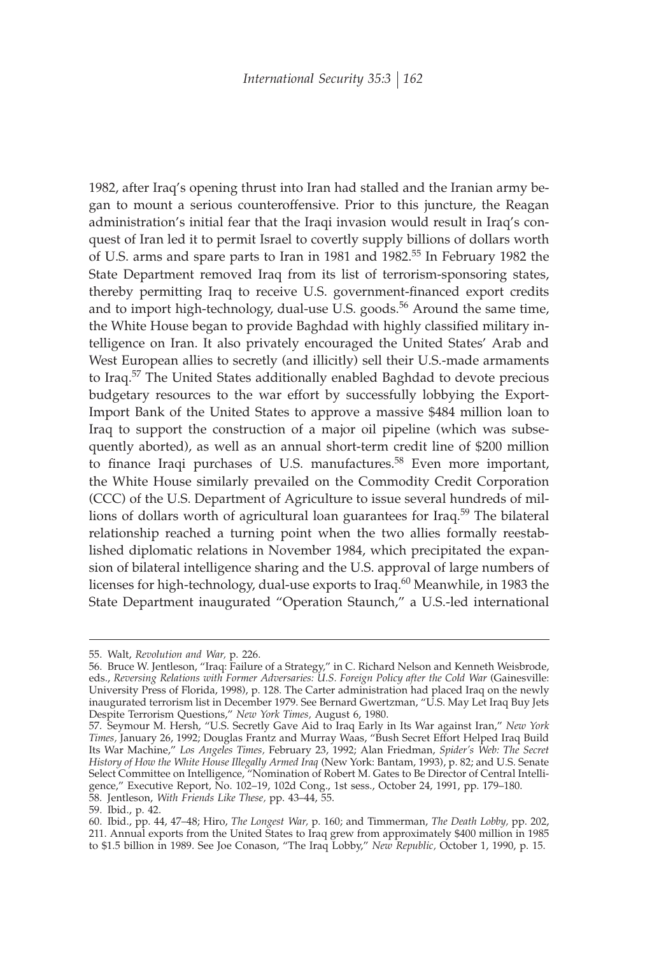1982, after Iraq's opening thrust into Iran had stalled and the Iranian army began to mount a serious counteroffensive. Prior to this juncture, the Reagan administration's initial fear that the Iraqi invasion would result in Iraq's conquest of Iran led it to permit Israel to covertly supply billions of dollars worth of U.S. arms and spare parts to Iran in 1981 and 1982.<sup>55</sup> In February 1982 the State Department removed Iraq from its list of terrorism-sponsoring states, thereby permitting Iraq to receive U.S. government-financed export credits and to import high-technology, dual-use U.S. goods.<sup>56</sup> Around the same time, the White House began to provide Baghdad with highly classified military intelligence on Iran. It also privately encouraged the United States' Arab and West European allies to secretly (and illicitly) sell their U.S.-made armaments to Iraq.<sup>57</sup> The United States additionally enabled Baghdad to devote precious budgetary resources to the war effort by successfully lobbying the Export-Import Bank of the United States to approve a massive \$484 million loan to Iraq to support the construction of a major oil pipeline (which was subsequently aborted), as well as an annual short-term credit line of \$200 million to finance Iraqi purchases of U.S. manufactures.<sup>58</sup> Even more important, the White House similarly prevailed on the Commodity Credit Corporation (CCC) of the U.S. Department of Agriculture to issue several hundreds of millions of dollars worth of agricultural loan guarantees for Iraq.<sup>59</sup> The bilateral relationship reached a turning point when the two allies formally reestablished diplomatic relations in November 1984, which precipitated the expansion of bilateral intelligence sharing and the U.S. approval of large numbers of licenses for high-technology, dual-use exports to Iraq.<sup>60</sup> Meanwhile, in 1983 the State Department inaugurated "Operation Staunch," a U.S.-led international

<sup>55.</sup> Walt, *Revolution and War,* p. 226.

<sup>56.</sup> Bruce W. Jentleson, "Iraq: Failure of a Strategy," in C. Richard Nelson and Kenneth Weisbrode, eds., *Reversing Relations with Former Adversaries: U.S. Foreign Policy after the Cold War* (Gainesville: University Press of Florida, 1998), p. 128. The Carter administration had placed Iraq on the newly inaugurated terrorism list in December 1979. See Bernard Gwertzman, "U.S. May Let Iraq Buy Jets Despite Terrorism Questions," *New York Times,* August 6, 1980.

<sup>57.</sup> Seymour M. Hersh, "U.S. Secretly Gave Aid to Iraq Early in Its War against Iran," *New York Times,* January 26, 1992; Douglas Frantz and Murray Waas, "Bush Secret Effort Helped Iraq Build Its War Machine," *Los Angeles Times,* February 23, 1992; Alan Friedman, *Spider's Web: The Secret History of How the White House Illegally Armed Iraq* (New York: Bantam, 1993), p. 82; and U.S. Senate Select Committee on Intelligence, "Nomination of Robert M. Gates to Be Director of Central Intelligence," Executive Report, No. 102–19, 102d Cong., 1st sess., October 24, 1991, pp. 179–180. 58. Jentleson, *With Friends Like These,* pp. 43–44, 55.

<sup>59.</sup> Ibid., p. 42.

<sup>60.</sup> Ibid., pp. 44, 47–48; Hiro, *The Longest War,* p. 160; and Timmerman, *The Death Lobby,* pp. 202, 211. Annual exports from the United States to Iraq grew from approximately \$400 million in 1985 to \$1.5 billion in 1989. See Joe Conason, "The Iraq Lobby," *New Republic,* October 1, 1990, p. 15.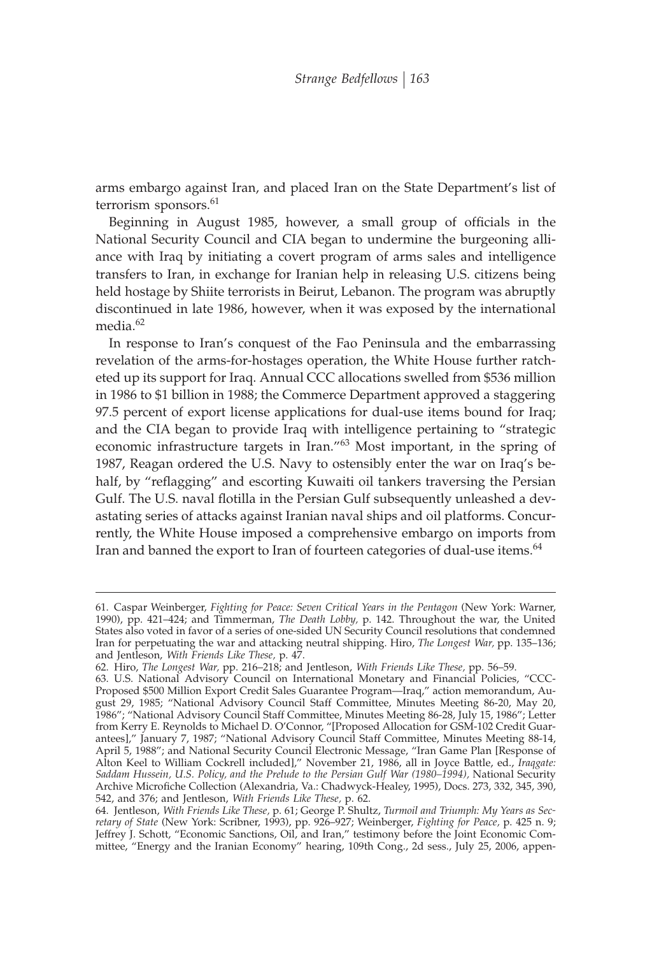arms embargo against Iran, and placed Iran on the State Department's list of terrorism sponsors.<sup>61</sup>

Beginning in August 1985, however, a small group of officials in the National Security Council and CIA began to undermine the burgeoning alliance with Iraq by initiating a covert program of arms sales and intelligence transfers to Iran, in exchange for Iranian help in releasing U.S. citizens being held hostage by Shiite terrorists in Beirut, Lebanon. The program was abruptly discontinued in late 1986, however, when it was exposed by the international media.<sup>62</sup>

In response to Iran's conquest of the Fao Peninsula and the embarrassing revelation of the arms-for-hostages operation, the White House further ratcheted up its support for Iraq. Annual CCC allocations swelled from \$536 million in 1986 to \$1 billion in 1988; the Commerce Department approved a staggering 97.5 percent of export license applications for dual-use items bound for Iraq; and the CIA began to provide Iraq with intelligence pertaining to "strategic economic infrastructure targets in Iran."63 Most important, in the spring of 1987, Reagan ordered the U.S. Navy to ostensibly enter the war on Iraq's behalf, by "reflagging" and escorting Kuwaiti oil tankers traversing the Persian Gulf. The U.S. naval flotilla in the Persian Gulf subsequently unleashed a devastating series of attacks against Iranian naval ships and oil platforms. Concurrently, the White House imposed a comprehensive embargo on imports from Iran and banned the export to Iran of fourteen categories of dual-use items.<sup>64</sup>

<sup>61.</sup> Caspar Weinberger, *Fighting for Peace: Seven Critical Years in the Pentagon* (New York: Warner, 1990), pp. 421–424; and Timmerman, *The Death Lobby,* p. 142. Throughout the war, the United States also voted in favor of a series of one-sided UN Security Council resolutions that condemned Iran for perpetuating the war and attacking neutral shipping. Hiro, *The Longest War,* pp. 135–136; and Jentleson, *With Friends Like These,* p. 47.

<sup>62.</sup> Hiro, *The Longest War,* pp. 216–218; and Jentleson, *With Friends Like These,* pp. 56–59.

<sup>63.</sup> U.S. National Advisory Council on International Monetary and Financial Policies, "CCC-Proposed \$500 Million Export Credit Sales Guarantee Program—Iraq," action memorandum, August 29, 1985; "National Advisory Council Staff Committee, Minutes Meeting 86-20, May 20, 1986"; "National Advisory Council Staff Committee, Minutes Meeting 86-28, July 15, 1986"; Letter from Kerry E. Reynolds to Michael D. O'Connor, "[Proposed Allocation for GSM-102 Credit Guarantees]," January 7, 1987; "National Advisory Council Staff Committee, Minutes Meeting 88-14, April 5, 1988"; and National Security Council Electronic Message, "Iran Game Plan [Response of Alton Keel to William Cockrell included]," November 21, 1986, all in Joyce Battle, ed., *Iraqgate: Saddam Hussein, U.S. Policy, and the Prelude to the Persian Gulf War (1980–1994),* National Security Archive Microfiche Collection (Alexandria, Va.: Chadwyck-Healey, 1995), Docs. 273, 332, 345, 390, 542, and 376; and Jentleson, *With Friends Like These,* p. 62.

<sup>64.</sup> Jentleson, *With Friends Like These,* p. 61; George P. Shultz, *Turmoil and Triumph: My Years as Secretary of State* (New York: Scribner, 1993), pp. 926–927; Weinberger, *Fighting for Peace,* p. 425 n. 9; Jeffrey J. Schott, "Economic Sanctions, Oil, and Iran," testimony before the Joint Economic Committee, "Energy and the Iranian Economy" hearing, 109th Cong., 2d sess., July 25, 2006, appen-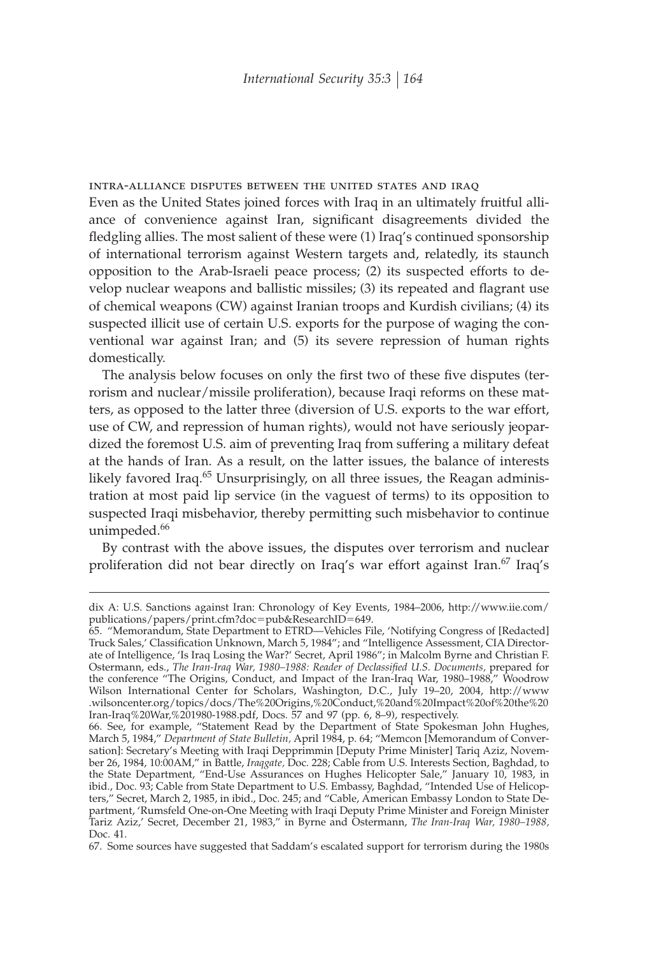#### intra-alliance disputes between the united states and iraq

Even as the United States joined forces with Iraq in an ultimately fruitful alliance of convenience against Iran, significant disagreements divided the fledgling allies. The most salient of these were (1) Iraq's continued sponsorship of international terrorism against Western targets and, relatedly, its staunch opposition to the Arab-Israeli peace process; (2) its suspected efforts to develop nuclear weapons and ballistic missiles; (3) its repeated and flagrant use of chemical weapons (CW) against Iranian troops and Kurdish civilians; (4) its suspected illicit use of certain U.S. exports for the purpose of waging the conventional war against Iran; and (5) its severe repression of human rights domestically.

The analysis below focuses on only the first two of these five disputes (terrorism and nuclear/missile proliferation), because Iraqi reforms on these matters, as opposed to the latter three (diversion of U.S. exports to the war effort, use of CW, and repression of human rights), would not have seriously jeopardized the foremost U.S. aim of preventing Iraq from suffering a military defeat at the hands of Iran. As a result, on the latter issues, the balance of interests likely favored Iraq.<sup>65</sup> Unsurprisingly, on all three issues, the Reagan administration at most paid lip service (in the vaguest of terms) to its opposition to suspected Iraqi misbehavior, thereby permitting such misbehavior to continue unimpeded.<sup>66</sup>

By contrast with the above issues, the disputes over terrorism and nuclear proliferation did not bear directly on Iraq's war effort against Iran.<sup>67</sup> Iraq's

67. Some sources have suggested that Saddam's escalated support for terrorism during the 1980s

dix A: U.S. Sanctions against Iran: Chronology of Key Events, 1984–2006, http://www.iie.com/ publications/papers/print.cfm?doc=pub&ResearchID=649.

<sup>65. &</sup>quot;Memorandum, State Department to ETRD—Vehicles File, 'Notifying Congress of [Redacted] Truck Sales,' Classification Unknown, March 5, 1984"; and "Intelligence Assessment, CIA Directorate of Intelligence, 'Is Iraq Losing the War?' Secret, April 1986"; in Malcolm Byrne and Christian F. Ostermann, eds., *The Iran-Iraq War, 1980–1988: Reader of Declassified U.S. Documents, prepared for* the conference "The Origins, Conduct, and Impact of the Iran-Iraq War, 1980–1988," Woodrow Wilson International Center for Scholars, Washington, D.C., July 19–20, 2004, http://www .wilsoncenter.org/topics/docs/The%20Origins,%20Conduct,%20and%20Impact%20of%20the%20 Iran-Iraq%20War,%201980-1988.pdf, Docs. 57 and 97 (pp. 6, 8–9), respectively.

<sup>66.</sup> See, for example, "Statement Read by the Department of State Spokesman John Hughes, March 5, 1984," *Department of State Bulletin,* April 1984, p. 64; "Memcon [Memorandum of Conversation]: Secretary's Meeting with Iraqi Depprimmin [Deputy Prime Minister] Tariq Aziz, November 26, 1984, 10:00AM," in Battle, *Iraqgate,* Doc. 228; Cable from U.S. Interests Section, Baghdad, to the State Department, "End-Use Assurances on Hughes Helicopter Sale," January 10, 1983, in ibid., Doc. 93; Cable from State Department to U.S. Embassy, Baghdad, "Intended Use of Helicopters," Secret, March 2, 1985, in ibid., Doc. 245; and "Cable, American Embassy London to State Department, 'Rumsfeld One-on-One Meeting with Iraqi Deputy Prime Minister and Foreign Minister Tariz Aziz,' Secret, December 21, 1983," in Byrne and Ostermann, *The Iran-Iraq War, 1980–1988,* Doc. 41.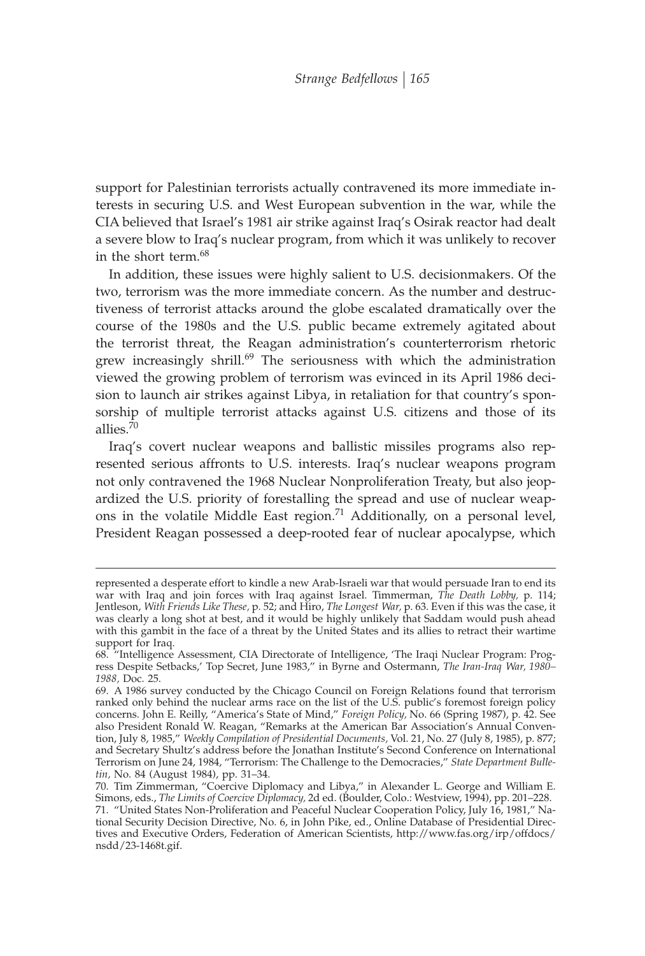support for Palestinian terrorists actually contravened its more immediate interests in securing U.S. and West European subvention in the war, while the CIA believed that Israel's 1981 air strike against Iraq's Osirak reactor had dealt a severe blow to Iraq's nuclear program, from which it was unlikely to recover in the short term.<sup>68</sup>

In addition, these issues were highly salient to U.S. decisionmakers. Of the two, terrorism was the more immediate concern. As the number and destructiveness of terrorist attacks around the globe escalated dramatically over the course of the 1980s and the U.S. public became extremely agitated about the terrorist threat, the Reagan administration's counterterrorism rhetoric grew increasingly shrill.<sup>69</sup> The seriousness with which the administration viewed the growing problem of terrorism was evinced in its April 1986 decision to launch air strikes against Libya, in retaliation for that country's sponsorship of multiple terrorist attacks against U.S. citizens and those of its allies.70

Iraq's covert nuclear weapons and ballistic missiles programs also represented serious affronts to U.S. interests. Iraq's nuclear weapons program not only contravened the 1968 Nuclear Nonproliferation Treaty, but also jeopardized the U.S. priority of forestalling the spread and use of nuclear weapons in the volatile Middle East region.<sup>71</sup> Additionally, on a personal level, President Reagan possessed a deep-rooted fear of nuclear apocalypse, which

represented a desperate effort to kindle a new Arab-Israeli war that would persuade Iran to end its war with Iraq and join forces with Iraq against Israel. Timmerman, *The Death Lobby,* p. 114; Jentleson, *With Friends Like These,* p. 52; and Hiro, *The Longest War,* p. 63. Even if this was the case, it was clearly a long shot at best, and it would be highly unlikely that Saddam would push ahead with this gambit in the face of a threat by the United States and its allies to retract their wartime support for Iraq.

<sup>68. &</sup>quot;Intelligence Assessment, CIA Directorate of Intelligence, 'The Iraqi Nuclear Program: Progress Despite Setbacks,' Top Secret, June 1983," in Byrne and Ostermann, *The Iran-Iraq War, 1980– 1988,* Doc. 25.

<sup>69.</sup> A 1986 survey conducted by the Chicago Council on Foreign Relations found that terrorism ranked only behind the nuclear arms race on the list of the U.S. public's foremost foreign policy concerns. John E. Reilly, "America's State of Mind," *Foreign Policy,* No. 66 (Spring 1987), p. 42. See also President Ronald W. Reagan, "Remarks at the American Bar Association's Annual Convention, July 8, 1985," *Weekly Compilation of Presidential Documents,* Vol. 21, No. 27 (July 8, 1985), p. 877; and Secretary Shultz's address before the Jonathan Institute's Second Conference on International Terrorism on June 24, 1984, "Terrorism: The Challenge to the Democracies," *State Department Bulletin,* No. 84 (August 1984), pp. 31–34.

<sup>70.</sup> Tim Zimmerman, "Coercive Diplomacy and Libya," in Alexander L. George and William E. Simons, eds., *The Limits of Coercive Diplomacy,* 2d ed. (Boulder, Colo.: Westview, 1994), pp. 201–228. 71. "United States Non-Proliferation and Peaceful Nuclear Cooperation Policy, July 16, 1981," National Security Decision Directive, No. 6, in John Pike, ed., Online Database of Presidential Directives and Executive Orders, Federation of American Scientists, http://www.fas.org/irp/offdocs/ nsdd/23-1468t.gif.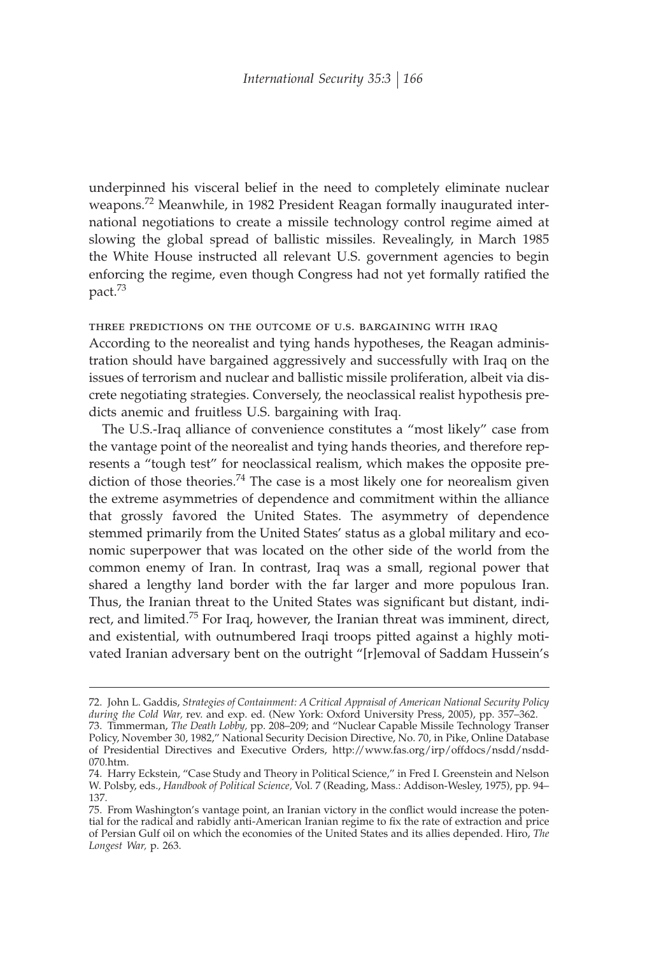underpinned his visceral belief in the need to completely eliminate nuclear weapons.<sup>72</sup> Meanwhile, in 1982 President Reagan formally inaugurated international negotiations to create a missile technology control regime aimed at slowing the global spread of ballistic missiles. Revealingly, in March 1985 the White House instructed all relevant U.S. government agencies to begin enforcing the regime, even though Congress had not yet formally ratified the pact.<sup>73</sup>

three predictions on the outcome of u.s. bargaining with iraq According to the neorealist and tying hands hypotheses, the Reagan administration should have bargained aggressively and successfully with Iraq on the issues of terrorism and nuclear and ballistic missile proliferation, albeit via discrete negotiating strategies. Conversely, the neoclassical realist hypothesis predicts anemic and fruitless U.S. bargaining with Iraq.

The U.S.-Iraq alliance of convenience constitutes a "most likely" case from the vantage point of the neorealist and tying hands theories, and therefore represents a "tough test" for neoclassical realism, which makes the opposite prediction of those theories.<sup>74</sup> The case is a most likely one for neorealism given the extreme asymmetries of dependence and commitment within the alliance that grossly favored the United States. The asymmetry of dependence stemmed primarily from the United States' status as a global military and economic superpower that was located on the other side of the world from the common enemy of Iran. In contrast, Iraq was a small, regional power that shared a lengthy land border with the far larger and more populous Iran. Thus, the Iranian threat to the United States was significant but distant, indirect, and limited.<sup>75</sup> For Iraq, however, the Iranian threat was imminent, direct, and existential, with outnumbered Iraqi troops pitted against a highly motivated Iranian adversary bent on the outright "[r]emoval of Saddam Hussein's

<sup>72.</sup> John L. Gaddis, *Strategies of Containment: A Critical Appraisal of American National Security Policy during the Cold War,* rev. and exp. ed. (New York: Oxford University Press, 2005), pp. 357–362. 73. Timmerman, *The Death Lobby,* pp. 208–209; and "Nuclear Capable Missile Technology Transer Policy, November 30, 1982," National Security Decision Directive, No. 70, in Pike, Online Database of Presidential Directives and Executive Orders, http://www.fas.org/irp/offdocs/nsdd/nsdd-070.htm.

<sup>74.</sup> Harry Eckstein, "Case Study and Theory in Political Science," in Fred I. Greenstein and Nelson W. Polsby, eds., *Handbook of Political Science,* Vol. 7 (Reading, Mass.: Addison-Wesley, 1975), pp. 94– 137.

<sup>75.</sup> From Washington's vantage point, an Iranian victory in the conflict would increase the potential for the radical and rabidly anti-American Iranian regime to fix the rate of extraction and price of Persian Gulf oil on which the economies of the United States and its allies depended. Hiro, *The Longest War,* p. 263.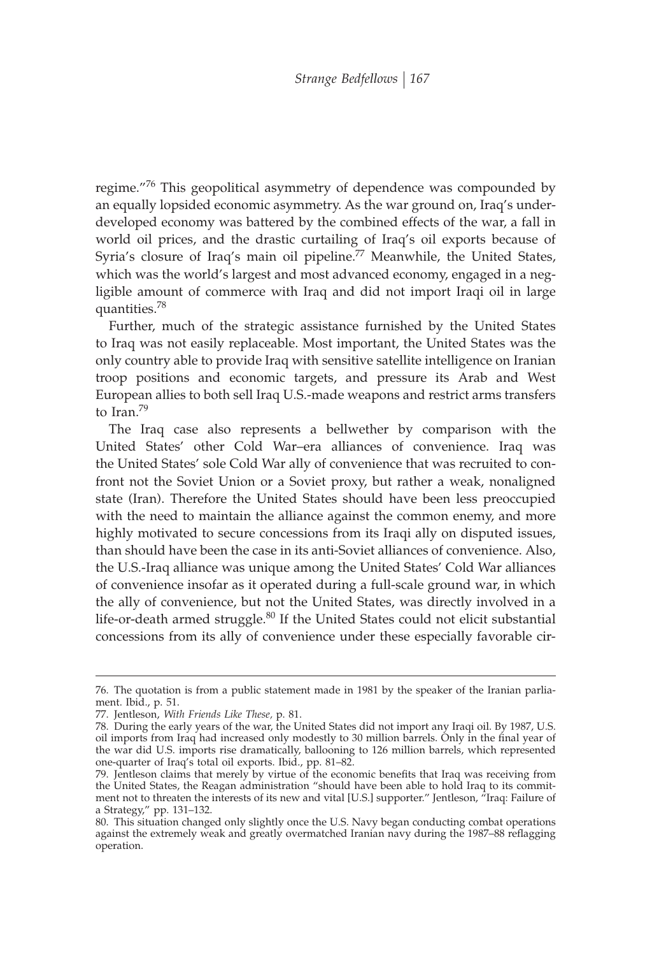regime."<sup>76</sup> This geopolitical asymmetry of dependence was compounded by an equally lopsided economic asymmetry. As the war ground on, Iraq's underdeveloped economy was battered by the combined effects of the war, a fall in world oil prices, and the drastic curtailing of Iraq's oil exports because of Syria's closure of Iraq's main oil pipeline.<sup>77</sup> Meanwhile, the United States, which was the world's largest and most advanced economy, engaged in a negligible amount of commerce with Iraq and did not import Iraqi oil in large quantities.<sup>78</sup>

Further, much of the strategic assistance furnished by the United States to Iraq was not easily replaceable. Most important, the United States was the only country able to provide Iraq with sensitive satellite intelligence on Iranian troop positions and economic targets, and pressure its Arab and West European allies to both sell Iraq U.S.-made weapons and restrict arms transfers to Iran.<sup>79</sup>

The Iraq case also represents a bellwether by comparison with the United States' other Cold War–era alliances of convenience. Iraq was the United States' sole Cold War ally of convenience that was recruited to confront not the Soviet Union or a Soviet proxy, but rather a weak, nonaligned state (Iran). Therefore the United States should have been less preoccupied with the need to maintain the alliance against the common enemy, and more highly motivated to secure concessions from its Iraqi ally on disputed issues, than should have been the case in its anti-Soviet alliances of convenience. Also, the U.S.-Iraq alliance was unique among the United States' Cold War alliances of convenience insofar as it operated during a full-scale ground war, in which the ally of convenience, but not the United States, was directly involved in a life-or-death armed struggle.<sup>80</sup> If the United States could not elicit substantial concessions from its ally of convenience under these especially favorable cir-

<sup>76.</sup> The quotation is from a public statement made in 1981 by the speaker of the Iranian parliament. Ibid., p. 51.

<sup>77.</sup> Jentleson, *With Friends Like These,* p. 81.

<sup>78.</sup> During the early years of the war, the United States did not import any Iraqi oil. By 1987, U.S. oil imports from Iraq had increased only modestly to 30 million barrels. Only in the final year of the war did U.S. imports rise dramatically, ballooning to 126 million barrels, which represented one-quarter of Iraq's total oil exports. Ibid., pp. 81–82.

<sup>79.</sup> Jentleson claims that merely by virtue of the economic benefits that Iraq was receiving from the United States, the Reagan administration "should have been able to hold Iraq to its commitment not to threaten the interests of its new and vital [U.S.] supporter." Jentleson, "Iraq: Failure of a Strategy," pp. 131–132.

<sup>80.</sup> This situation changed only slightly once the U.S. Navy began conducting combat operations against the extremely weak and greatly overmatched Iranian navy during the 1987-88 reflagging operation.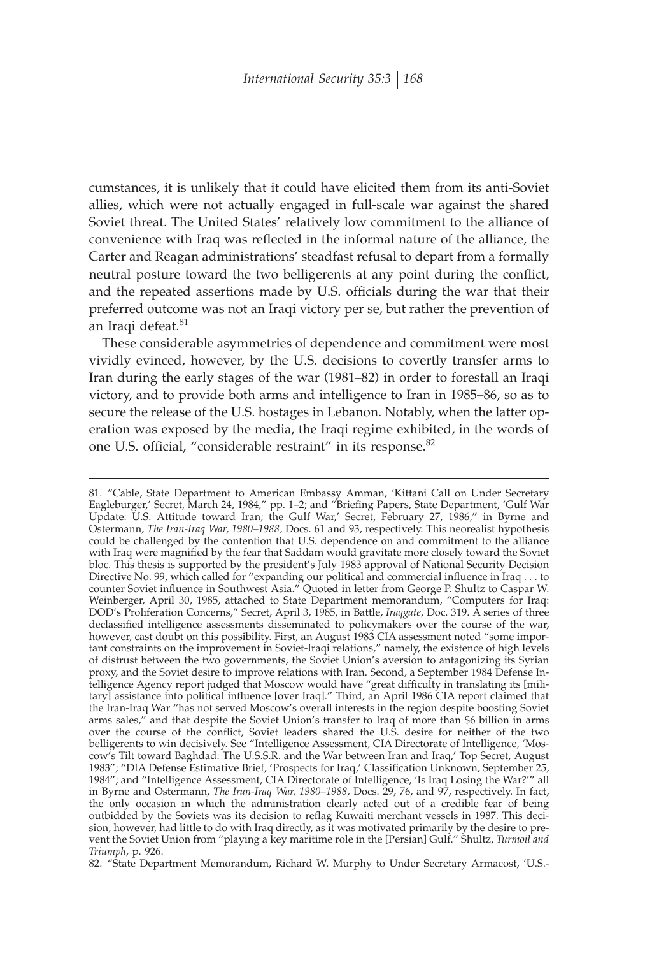cumstances, it is unlikely that it could have elicited them from its anti-Soviet allies, which were not actually engaged in full-scale war against the shared Soviet threat. The United States' relatively low commitment to the alliance of convenience with Iraq was reflected in the informal nature of the alliance, the Carter and Reagan administrations' steadfast refusal to depart from a formally neutral posture toward the two belligerents at any point during the conflict, and the repeated assertions made by U.S. officials during the war that their preferred outcome was not an Iraqi victory per se, but rather the prevention of an Iraqi defeat.<sup>81</sup>

These considerable asymmetries of dependence and commitment were most vividly evinced, however, by the U.S. decisions to covertly transfer arms to Iran during the early stages of the war (1981–82) in order to forestall an Iraqi victory, and to provide both arms and intelligence to Iran in 1985–86, so as to secure the release of the U.S. hostages in Lebanon. Notably, when the latter operation was exposed by the media, the Iraqi regime exhibited, in the words of one U.S. official, "considerable restraint" in its response.<sup>82</sup>

82. "State Department Memorandum, Richard W. Murphy to Under Secretary Armacost, 'U.S.-

<sup>81. &</sup>quot;Cable, State Department to American Embassy Amman, 'Kittani Call on Under Secretary Eagleburger,' Secret, March 24, 1984,'' pp. 1–2; and "Briefing Papers, State Department, 'Gulf War Update: U.S. Attitude toward Iran; the Gulf War,' Secret, February 27, 1986," in Byrne and Ostermann, *The Iran-Iraq War, 1980–1988,* Docs. 61 and 93, respectively. This neorealist hypothesis could be challenged by the contention that U.S. dependence on and commitment to the alliance with Iraq were magnified by the fear that Saddam would gravitate more closely toward the Soviet bloc. This thesis is supported by the president's July 1983 approval of National Security Decision Directive No. 99, which called for "expanding our political and commercial influence in Iraq . . . to counter Soviet influence in Southwest Asia." Quoted in letter from George P. Shultz to Caspar W. Weinberger, April 30, 1985, attached to State Department memorandum, "Computers for Iraq: DOD's Proliferation Concerns," Secret, April 3, 1985, in Battle, *Iraqgate,* Doc. 319. A series of three declassified intelligence assessments disseminated to policymakers over the course of the war, however, cast doubt on this possibility. First, an August 1983 CIA assessment noted "some important constraints on the improvement in Soviet-Iraqi relations," namely, the existence of high levels of distrust between the two governments, the Soviet Union's aversion to antagonizing its Syrian proxy, and the Soviet desire to improve relations with Iran. Second, a September 1984 Defense Intelligence Agency report judged that Moscow would have "great difficulty in translating its [military] assistance into political influence [over Iraq]." Third, an April 1986 CIA report claimed that the Iran-Iraq War "has not served Moscow's overall interests in the region despite boosting Soviet arms sales," and that despite the Soviet Union's transfer to Iraq of more than \$6 billion in arms over the course of the conflict, Soviet leaders shared the U.S. desire for neither of the two belligerents to win decisively. See "Intelligence Assessment, CIA Directorate of Intelligence, 'Moscow's Tilt toward Baghdad: The U.S.S.R. and the War between Iran and Iraq,' Top Secret, August 1983"; "DIA Defense Estimative Brief, 'Prospects for Iraq,' Classification Unknown, September 25, 1984"; and "Intelligence Assessment, CIA Directorate of Intelligence, 'Is Iraq Losing the War?'" all in Byrne and Ostermann, *The Iran-Iraq War, 1980–1988,* Docs. 29, 76, and 97, respectively. In fact, the only occasion in which the administration clearly acted out of a credible fear of being outbidded by the Soviets was its decision to reflag Kuwaiti merchant vessels in 1987. This decision, however, had little to do with Iraq directly, as it was motivated primarily by the desire to prevent the Soviet Union from "playing a key maritime role in the [Persian] Gulf." Shultz, *Turmoil and Triumph,* p. 926.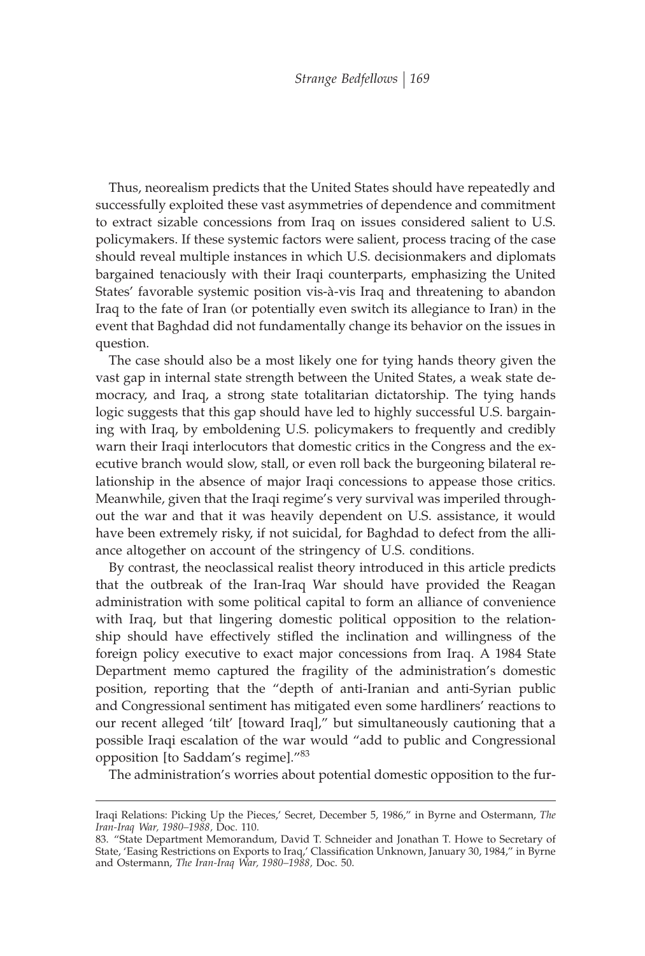Thus, neorealism predicts that the United States should have repeatedly and successfully exploited these vast asymmetries of dependence and commitment to extract sizable concessions from Iraq on issues considered salient to U.S. policymakers. If these systemic factors were salient, process tracing of the case should reveal multiple instances in which U.S. decisionmakers and diplomats bargained tenaciously with their Iraqi counterparts, emphasizing the United States' favorable systemic position vis-à-vis Iraq and threatening to abandon Iraq to the fate of Iran (or potentially even switch its allegiance to Iran) in the event that Baghdad did not fundamentally change its behavior on the issues in question.

The case should also be a most likely one for tying hands theory given the vast gap in internal state strength between the United States, a weak state democracy, and Iraq, a strong state totalitarian dictatorship. The tying hands logic suggests that this gap should have led to highly successful U.S. bargaining with Iraq, by emboldening U.S. policymakers to frequently and credibly warn their Iraqi interlocutors that domestic critics in the Congress and the executive branch would slow, stall, or even roll back the burgeoning bilateral relationship in the absence of major Iraqi concessions to appease those critics. Meanwhile, given that the Iraqi regime's very survival was imperiled throughout the war and that it was heavily dependent on U.S. assistance, it would have been extremely risky, if not suicidal, for Baghdad to defect from the alliance altogether on account of the stringency of U.S. conditions.

By contrast, the neoclassical realist theory introduced in this article predicts that the outbreak of the Iran-Iraq War should have provided the Reagan administration with some political capital to form an alliance of convenience with Iraq, but that lingering domestic political opposition to the relationship should have effectively stifled the inclination and willingness of the foreign policy executive to exact major concessions from Iraq. A 1984 State Department memo captured the fragility of the administration's domestic position, reporting that the "depth of anti-Iranian and anti-Syrian public and Congressional sentiment has mitigated even some hardliners' reactions to our recent alleged 'tilt' [toward Iraq]," but simultaneously cautioning that a possible Iraqi escalation of the war would "add to public and Congressional opposition [to Saddam's regime]."83

The administration's worries about potential domestic opposition to the fur-

Iraqi Relations: Picking Up the Pieces,' Secret, December 5, 1986," in Byrne and Ostermann, *The Iran-Iraq War, 1980–1988,* Doc. 110.

<sup>83. &</sup>quot;State Department Memorandum, David T. Schneider and Jonathan T. Howe to Secretary of State, 'Easing Restrictions on Exports to Iraq,' Classification Unknown, January 30, 1984," in Byrne and Ostermann, *The Iran-Iraq War, 1980–1988,* Doc. 50.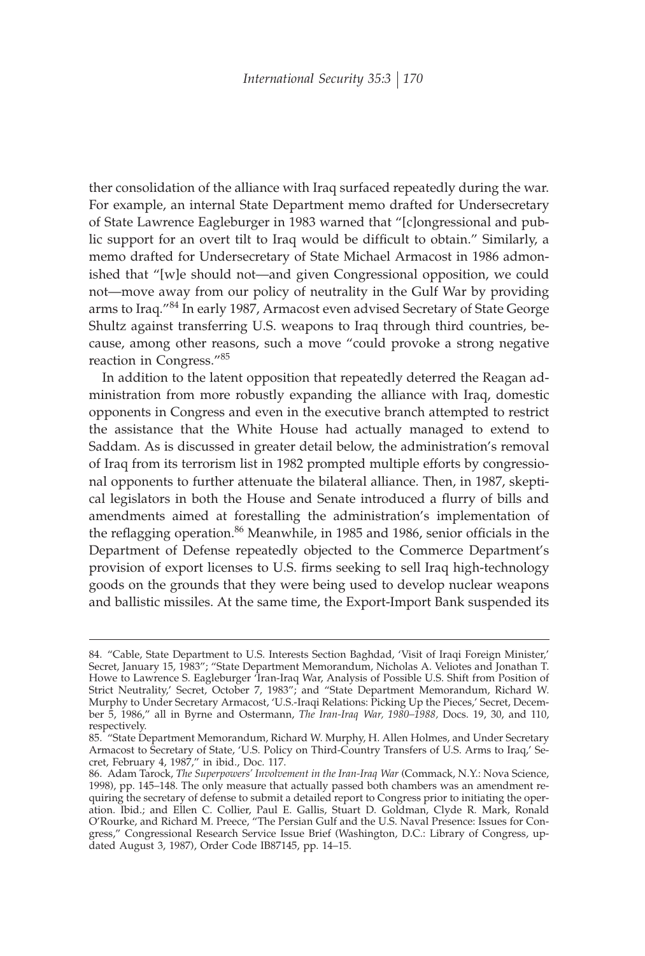ther consolidation of the alliance with Iraq surfaced repeatedly during the war. For example, an internal State Department memo drafted for Undersecretary of State Lawrence Eagleburger in 1983 warned that "[c]ongressional and public support for an overt tilt to Iraq would be difficult to obtain." Similarly, a memo drafted for Undersecretary of State Michael Armacost in 1986 admonished that "[w]e should not—and given Congressional opposition, we could not—move away from our policy of neutrality in the Gulf War by providing arms to Iraq."84 In early 1987, Armacost even advised Secretary of State George Shultz against transferring U.S. weapons to Iraq through third countries, because, among other reasons, such a move "could provoke a strong negative reaction in Congress."<sup>85</sup>

In addition to the latent opposition that repeatedly deterred the Reagan administration from more robustly expanding the alliance with Iraq, domestic opponents in Congress and even in the executive branch attempted to restrict the assistance that the White House had actually managed to extend to Saddam. As is discussed in greater detail below, the administration's removal of Iraq from its terrorism list in 1982 prompted multiple efforts by congressional opponents to further attenuate the bilateral alliance. Then, in 1987, skeptical legislators in both the House and Senate introduced a flurry of bills and amendments aimed at forestalling the administration's implementation of the reflagging operation.<sup>86</sup> Meanwhile, in 1985 and 1986, senior officials in the Department of Defense repeatedly objected to the Commerce Department's provision of export licenses to U.S. firms seeking to sell Iraq high-technology goods on the grounds that they were being used to develop nuclear weapons and ballistic missiles. At the same time, the Export-Import Bank suspended its

<sup>84. &</sup>quot;Cable, State Department to U.S. Interests Section Baghdad, 'Visit of Iraqi Foreign Minister,' Secret, January 15, 1983"; "State Department Memorandum, Nicholas A. Veliotes and Jonathan T. Howe to Lawrence S. Eagleburger 'Iran-Iraq War, Analysis of Possible U.S. Shift from Position of Strict Neutrality,' Secret, October 7, 1983"; and "State Department Memorandum, Richard W. Murphy to Under Secretary Armacost, 'U.S.-Iraqi Relations: Picking Up the Pieces,' Secret, December 5, 1986," all in Byrne and Ostermann, *The Iran-Iraq War, 1980–1988,* Docs. 19, 30, and 110, respectively.

<sup>85. &</sup>quot;State Department Memorandum, Richard W. Murphy, H. Allen Holmes, and Under Secretary Armacost to Secretary of State, 'U.S. Policy on Third-Country Transfers of U.S. Arms to Iraq,' Secret, February 4, 1987," in ibid., Doc. 117.

<sup>86.</sup> Adam Tarock, *The Superpowers' Involvement in the Iran-Iraq War* (Commack, N.Y.: Nova Science, 1998), pp. 145–148. The only measure that actually passed both chambers was an amendment requiring the secretary of defense to submit a detailed report to Congress prior to initiating the operation. Ibid.; and Ellen C. Collier, Paul E. Gallis, Stuart D. Goldman, Clyde R. Mark, Ronald O'Rourke, and Richard M. Preece, "The Persian Gulf and the U.S. Naval Presence: Issues for Congress," Congressional Research Service Issue Brief (Washington, D.C.: Library of Congress, updated August 3, 1987), Order Code IB87145, pp. 14–15.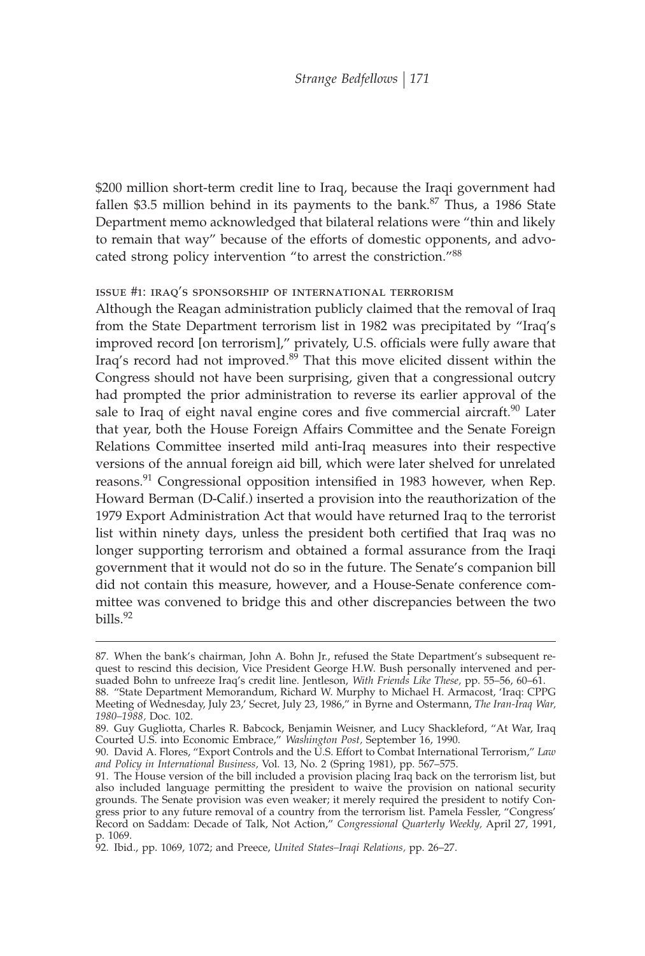\$200 million short-term credit line to Iraq, because the Iraqi government had fallen \$3.5 million behind in its payments to the bank. $87$  Thus, a 1986 State Department memo acknowledged that bilateral relations were "thin and likely to remain that way" because of the efforts of domestic opponents, and advocated strong policy intervention "to arrest the constriction."<sup>88</sup>

#### issue #1: iraq's sponsorship of international terrorism

Although the Reagan administration publicly claimed that the removal of Iraq from the State Department terrorism list in 1982 was precipitated by "Iraq's improved record [on terrorism]," privately, U.S. officials were fully aware that Iraq's record had not improved.<sup>89</sup> That this move elicited dissent within the Congress should not have been surprising, given that a congressional outcry had prompted the prior administration to reverse its earlier approval of the sale to Iraq of eight naval engine cores and five commercial aircraft.<sup>90</sup> Later that year, both the House Foreign Affairs Committee and the Senate Foreign Relations Committee inserted mild anti-Iraq measures into their respective versions of the annual foreign aid bill, which were later shelved for unrelated reasons.<sup>91</sup> Congressional opposition intensified in 1983 however, when Rep. Howard Berman (D-Calif.) inserted a provision into the reauthorization of the 1979 Export Administration Act that would have returned Iraq to the terrorist list within ninety days, unless the president both certified that Iraq was no longer supporting terrorism and obtained a formal assurance from the Iraqi government that it would not do so in the future. The Senate's companion bill did not contain this measure, however, and a House-Senate conference committee was convened to bridge this and other discrepancies between the two bills $92$ 

<sup>87.</sup> When the bank's chairman, John A. Bohn Jr., refused the State Department's subsequent request to rescind this decision, Vice President George H.W. Bush personally intervened and persuaded Bohn to unfreeze Iraq's credit line. Jentleson, *With Friends Like These,* pp. 55–56, 60–61. 88. "State Department Memorandum, Richard W. Murphy to Michael H. Armacost, 'Iraq: CPPG

Meeting of Wednesday, July 23,' Secret, July 23, 1986," in Byrne and Ostermann, *The Iran-Iraq War, 1980–1988,* Doc. 102.

<sup>89.</sup> Guy Gugliotta, Charles R. Babcock, Benjamin Weisner, and Lucy Shackleford, "At War, Iraq Courted U.S. into Economic Embrace," *Washington Post,* September 16, 1990.

<sup>90.</sup> David A. Flores, "Export Controls and the U.S. Effort to Combat International Terrorism," *Law and Policy in International Business,* Vol. 13, No. 2 (Spring 1981), pp. 567–575.

<sup>91.</sup> The House version of the bill included a provision placing Iraq back on the terrorism list, but also included language permitting the president to waive the provision on national security grounds. The Senate provision was even weaker; it merely required the president to notify Congress prior to any future removal of a country from the terrorism list. Pamela Fessler, "Congress' Record on Saddam: Decade of Talk, Not Action," *Congressional Quarterly Weekly,* April 27, 1991, p. 1069.

<sup>92.</sup> Ibid., pp. 1069, 1072; and Preece, *United States–Iraqi Relations,* pp. 26–27.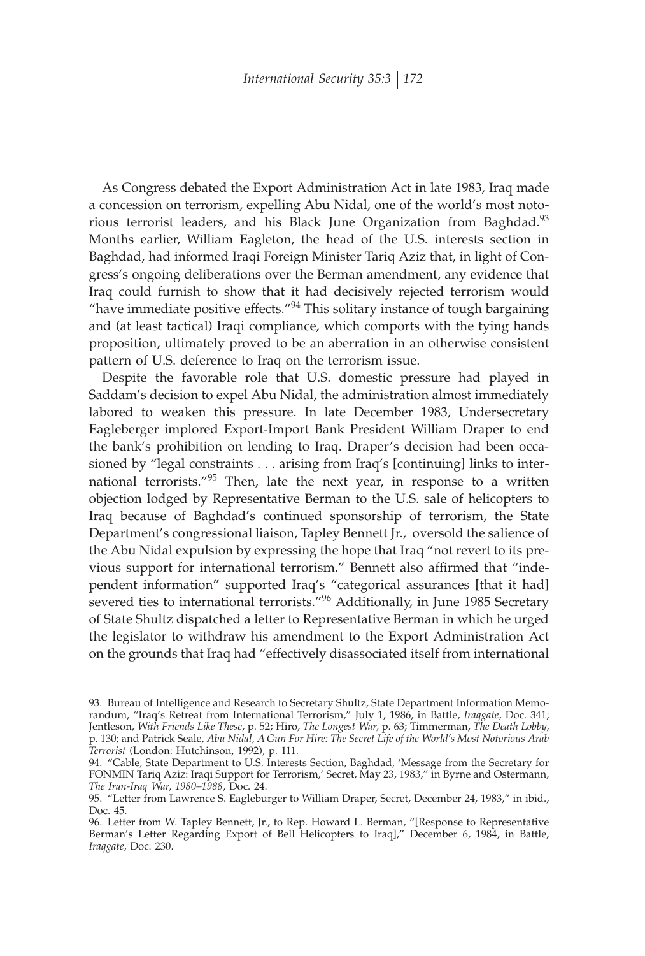As Congress debated the Export Administration Act in late 1983, Iraq made a concession on terrorism, expelling Abu Nidal, one of the world's most notorious terrorist leaders, and his Black June Organization from Baghdad.<sup>93</sup> Months earlier, William Eagleton, the head of the U.S. interests section in Baghdad, had informed Iraqi Foreign Minister Tariq Aziz that, in light of Congress's ongoing deliberations over the Berman amendment, any evidence that Iraq could furnish to show that it had decisively rejected terrorism would "have immediate positive effects."<sup>94</sup> This solitary instance of tough bargaining and (at least tactical) Iraqi compliance, which comports with the tying hands proposition, ultimately proved to be an aberration in an otherwise consistent pattern of U.S. deference to Iraq on the terrorism issue.

Despite the favorable role that U.S. domestic pressure had played in Saddam's decision to expel Abu Nidal, the administration almost immediately labored to weaken this pressure. In late December 1983, Undersecretary Eagleberger implored Export-Import Bank President William Draper to end the bank's prohibition on lending to Iraq. Draper's decision had been occasioned by "legal constraints . . . arising from Iraq's [continuing] links to international terrorists."<sup>95</sup> Then, late the next year, in response to a written objection lodged by Representative Berman to the U.S. sale of helicopters to Iraq because of Baghdad's continued sponsorship of terrorism, the State Department's congressional liaison, Tapley Bennett Jr., oversold the salience of the Abu Nidal expulsion by expressing the hope that Iraq "not revert to its previous support for international terrorism." Bennett also affirmed that "independent information" supported Iraq's "categorical assurances [that it had] severed ties to international terrorists."<sup>96</sup> Additionally, in June 1985 Secretary of State Shultz dispatched a letter to Representative Berman in which he urged the legislator to withdraw his amendment to the Export Administration Act on the grounds that Iraq had "effectively disassociated itself from international

<sup>93.</sup> Bureau of Intelligence and Research to Secretary Shultz, State Department Information Memorandum, "Iraq's Retreat from International Terrorism," July 1, 1986, in Battle, *Iraqgate,* Doc. 341; Jentleson, *With Friends Like These,* p. 52; Hiro, *The Longest War,* p. 63; Timmerman, *The Death Lobby,* p. 130; and Patrick Seale, *Abu Nidal, A Gun For Hire: The Secret Life of the World's Most Notorious Arab Terrorist* (London: Hutchinson, 1992), p. 111.

<sup>94. &</sup>quot;Cable, State Department to U.S. Interests Section, Baghdad, 'Message from the Secretary for FONMIN Tariq Aziz: Iraqi Support for Terrorism,' Secret, May 23, 1983," in Byrne and Ostermann, *The Iran-Iraq War, 1980–1988,* Doc. 24.

<sup>95. &</sup>quot;Letter from Lawrence S. Eagleburger to William Draper, Secret, December 24, 1983," in ibid., Doc. 45.

<sup>96.</sup> Letter from W. Tapley Bennett, Jr., to Rep. Howard L. Berman, "[Response to Representative Berman's Letter Regarding Export of Bell Helicopters to Iraq]," December 6, 1984, in Battle, *Iraqgate,* Doc. 230.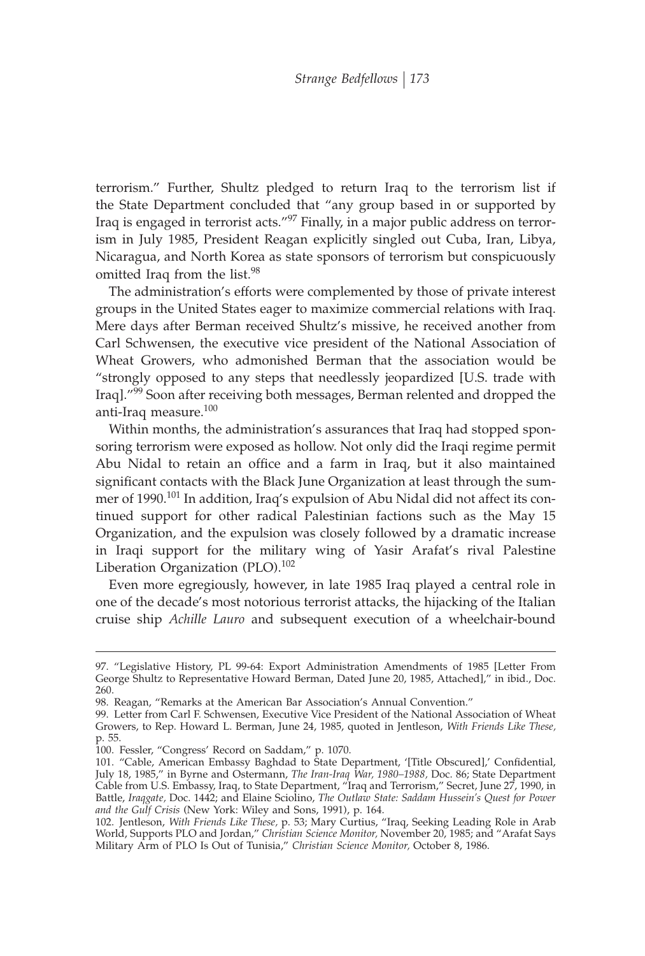terrorism." Further, Shultz pledged to return Iraq to the terrorism list if the State Department concluded that "any group based in or supported by Iraq is engaged in terrorist acts."<sup>97</sup> Finally, in a major public address on terrorism in July 1985, President Reagan explicitly singled out Cuba, Iran, Libya, Nicaragua, and North Korea as state sponsors of terrorism but conspicuously omitted Iraq from the list.<sup>98</sup>

The administration's efforts were complemented by those of private interest groups in the United States eager to maximize commercial relations with Iraq. Mere days after Berman received Shultz's missive, he received another from Carl Schwensen, the executive vice president of the National Association of Wheat Growers, who admonished Berman that the association would be "strongly opposed to any steps that needlessly jeopardized [U.S. trade with Iraq]."<sup>99</sup> Soon after receiving both messages, Berman relented and dropped the anti-Iraq measure.100

Within months, the administration's assurances that Iraq had stopped sponsoring terrorism were exposed as hollow. Not only did the Iraqi regime permit Abu Nidal to retain an office and a farm in Iraq, but it also maintained significant contacts with the Black June Organization at least through the summer of 1990.<sup>101</sup> In addition, Iraq's expulsion of Abu Nidal did not affect its continued support for other radical Palestinian factions such as the May 15 Organization, and the expulsion was closely followed by a dramatic increase in Iraqi support for the military wing of Yasir Arafat's rival Palestine Liberation Organization (PLO). $102$ 

Even more egregiously, however, in late 1985 Iraq played a central role in one of the decade's most notorious terrorist attacks, the hijacking of the Italian cruise ship *Achille Lauro* and subsequent execution of a wheelchair-bound

<sup>97. &</sup>quot;Legislative History, PL 99-64: Export Administration Amendments of 1985 [Letter From George Shultz to Representative Howard Berman, Dated June 20, 1985, Attached]," in ibid., Doc. 260.

<sup>98.</sup> Reagan, "Remarks at the American Bar Association's Annual Convention."

<sup>99.</sup> Letter from Carl F. Schwensen, Executive Vice President of the National Association of Wheat Growers, to Rep. Howard L. Berman, June 24, 1985, quoted in Jentleson, *With Friends Like These,* p. 55.

<sup>100.</sup> Fessler, "Congress' Record on Saddam," p. 1070.

<sup>101. &</sup>quot;Cable, American Embassy Baghdad to State Department, '[Title Obscured],' Confidential, July 18, 1985," in Byrne and Ostermann, *The Iran-Iraq War, 1980–1988,* Doc. 86; State Department Cable from U.S. Embassy, Iraq, to State Department, "Iraq and Terrorism," Secret, June 27, 1990, in Battle, *Iraqgate,* Doc. 1442; and Elaine Sciolino, *The Outlaw State: Saddam Hussein's Quest for Power and the Gulf Crisis* (New York: Wiley and Sons, 1991), p. 164.

<sup>102.</sup> Jentleson, *With Friends Like These,* p. 53; Mary Curtius, "Iraq, Seeking Leading Role in Arab World, Supports PLO and Jordan," *Christian Science Monitor,* November 20, 1985; and "Arafat Says Military Arm of PLO Is Out of Tunisia," *Christian Science Monitor,* October 8, 1986.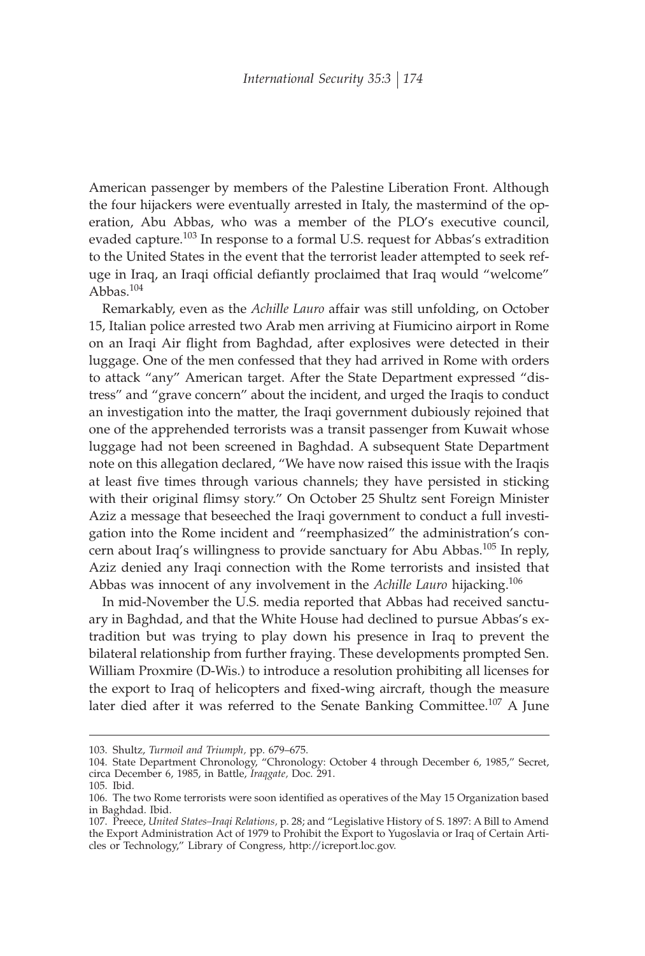American passenger by members of the Palestine Liberation Front. Although the four hijackers were eventually arrested in Italy, the mastermind of the operation, Abu Abbas, who was a member of the PLO's executive council, evaded capture.<sup>103</sup> In response to a formal U.S. request for Abbas's extradition to the United States in the event that the terrorist leader attempted to seek refuge in Iraq, an Iraqi official defiantly proclaimed that Iraq would "welcome" Abbas.104

Remarkably, even as the *Achille Lauro* affair was still unfolding, on October 15, Italian police arrested two Arab men arriving at Fiumicino airport in Rome on an Iraqi Air flight from Baghdad, after explosives were detected in their luggage. One of the men confessed that they had arrived in Rome with orders to attack "any" American target. After the State Department expressed "distress" and "grave concern" about the incident, and urged the Iraqis to conduct an investigation into the matter, the Iraqi government dubiously rejoined that one of the apprehended terrorists was a transit passenger from Kuwait whose luggage had not been screened in Baghdad. A subsequent State Department note on this allegation declared, "We have now raised this issue with the Iraqis at least five times through various channels; they have persisted in sticking with their original flimsy story." On October 25 Shultz sent Foreign Minister Aziz a message that beseeched the Iraqi government to conduct a full investigation into the Rome incident and "reemphasized" the administration's concern about Iraq's willingness to provide sanctuary for Abu Abbas.105 In reply, Aziz denied any Iraqi connection with the Rome terrorists and insisted that Abbas was innocent of any involvement in the *Achille Lauro* hijacking.106

In mid-November the U.S. media reported that Abbas had received sanctuary in Baghdad, and that the White House had declined to pursue Abbas's extradition but was trying to play down his presence in Iraq to prevent the bilateral relationship from further fraying. These developments prompted Sen. William Proxmire (D-Wis.) to introduce a resolution prohibiting all licenses for the export to Iraq of helicopters and fixed-wing aircraft, though the measure later died after it was referred to the Senate Banking Committee.<sup>107</sup> A June

<sup>103.</sup> Shultz, *Turmoil and Triumph,* pp. 679–675.

<sup>104.</sup> State Department Chronology, "Chronology: October 4 through December 6, 1985," Secret, circa December 6, 1985, in Battle, *Iraqgate,* Doc. 291.

<sup>105.</sup> Ibid.

<sup>106.</sup> The two Rome terrorists were soon identified as operatives of the May 15 Organization based in Baghdad. Ibid.

<sup>107.</sup> Preece, *United States–Iraqi Relations,* p. 28; and "Legislative History of S. 1897: A Bill to Amend the Export Administration Act of 1979 to Prohibit the Export to Yugoslavia or Iraq of Certain Articles or Technology," Library of Congress, http://icreport.loc.gov.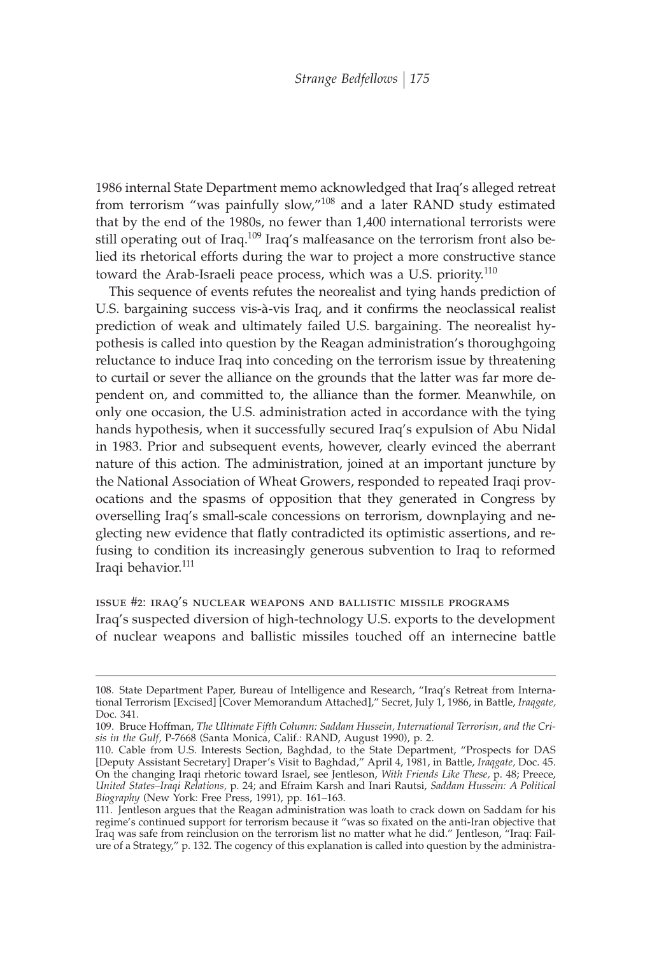1986 internal State Department memo acknowledged that Iraq's alleged retreat from terrorism "was painfully slow,"<sup>108</sup> and a later RAND study estimated that by the end of the 1980s, no fewer than 1,400 international terrorists were still operating out of Iraq.<sup>109</sup> Iraq's malfeasance on the terrorism front also belied its rhetorical efforts during the war to project a more constructive stance toward the Arab-Israeli peace process, which was a U.S. priority.<sup>110</sup>

This sequence of events refutes the neorealist and tying hands prediction of U.S. bargaining success vis-à-vis Iraq, and it confirms the neoclassical realist prediction of weak and ultimately failed U.S. bargaining. The neorealist hypothesis is called into question by the Reagan administration's thoroughgoing reluctance to induce Iraq into conceding on the terrorism issue by threatening to curtail or sever the alliance on the grounds that the latter was far more dependent on, and committed to, the alliance than the former. Meanwhile, on only one occasion, the U.S. administration acted in accordance with the tying hands hypothesis, when it successfully secured Iraq's expulsion of Abu Nidal in 1983. Prior and subsequent events, however, clearly evinced the aberrant nature of this action. The administration, joined at an important juncture by the National Association of Wheat Growers, responded to repeated Iraqi provocations and the spasms of opposition that they generated in Congress by overselling Iraq's small-scale concessions on terrorism, downplaying and neglecting new evidence that flatly contradicted its optimistic assertions, and refusing to condition its increasingly generous subvention to Iraq to reformed Iraqi behavior.<sup>111</sup>

issue #2: iraq's nuclear weapons and ballistic missile programs Iraq's suspected diversion of high-technology U.S. exports to the development of nuclear weapons and ballistic missiles touched off an internecine battle

<sup>108.</sup> State Department Paper, Bureau of Intelligence and Research, "Iraq's Retreat from International Terrorism [Excised] [Cover Memorandum Attached]," Secret, July 1, 1986, in Battle, *Iraqgate,* Doc. 341.

<sup>109.</sup> Bruce Hoffman, *The Ultimate Fifth Column: Saddam Hussein, International Terrorism, and the Crisis in the Gulf,* P-7668 (Santa Monica, Calif.: RAND, August 1990), p. 2.

<sup>110.</sup> Cable from U.S. Interests Section, Baghdad, to the State Department, "Prospects for DAS [Deputy Assistant Secretary] Draper's Visit to Baghdad," April 4, 1981, in Battle, *Iraqgate,* Doc. 45. On the changing Iraqi rhetoric toward Israel, see Jentleson, *With Friends Like These,* p. 48; Preece, *United States–Iraqi Relations,* p. 24; and Efraim Karsh and Inari Rautsi, *Saddam Hussein: A Political Biography* (New York: Free Press, 1991), pp. 161–163.

<sup>111.</sup> Jentleson argues that the Reagan administration was loath to crack down on Saddam for his regime's continued support for terrorism because it "was so fixated on the anti-Iran objective that Iraq was safe from reinclusion on the terrorism list no matter what he did." Jentleson, "Iraq: Failure of a Strategy," p. 132. The cogency of this explanation is called into question by the administra-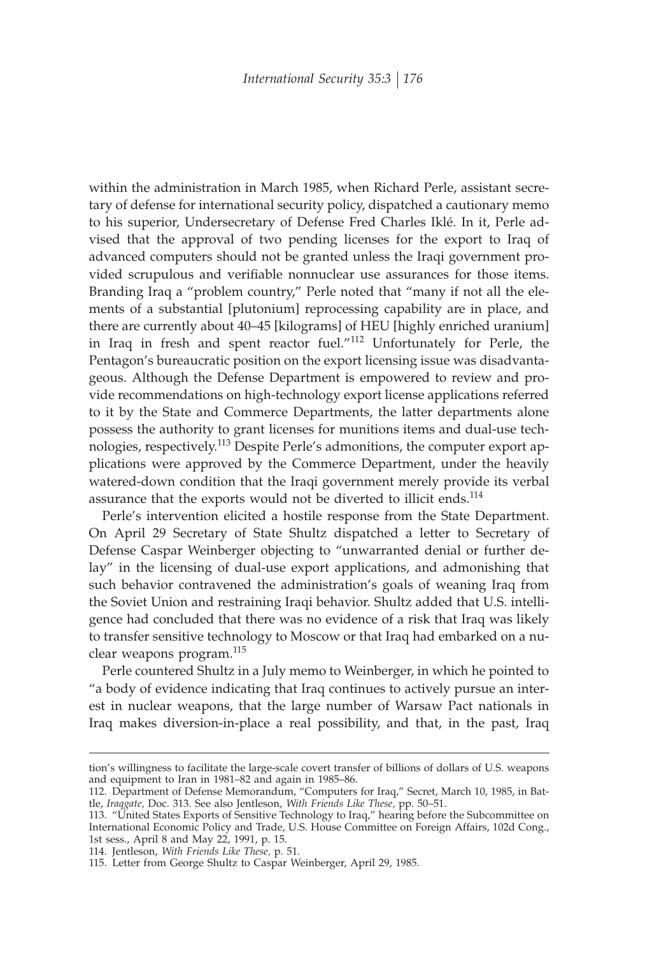within the administration in March 1985, when Richard Perle, assistant secretary of defense for international security policy, dispatched a cautionary memo to his superior, Undersecretary of Defense Fred Charles Iklé. In it, Perle advised that the approval of two pending licenses for the export to Iraq of advanced computers should not be granted unless the Iraqi government provided scrupulous and verifiable nonnuclear use assurances for those items. Branding Iraq a "problem country," Perle noted that "many if not all the elements of a substantial [plutonium] reprocessing capability are in place, and there are currently about 40–45 [kilograms] of HEU [highly enriched uranium] in Iraq in fresh and spent reactor fuel."<sup>112</sup> Unfortunately for Perle, the Pentagon's bureaucratic position on the export licensing issue was disadvantageous. Although the Defense Department is empowered to review and provide recommendations on high-technology export license applications referred to it by the State and Commerce Departments, the latter departments alone possess the authority to grant licenses for munitions items and dual-use technologies, respectively.<sup>113</sup> Despite Perle's admonitions, the computer export applications were approved by the Commerce Department, under the heavily watered-down condition that the Iraqi government merely provide its verbal assurance that the exports would not be diverted to illicit ends.<sup>114</sup>

Perle's intervention elicited a hostile response from the State Department. On April 29 Secretary of State Shultz dispatched a letter to Secretary of Defense Caspar Weinberger objecting to "unwarranted denial or further delay" in the licensing of dual-use export applications, and admonishing that such behavior contravened the administration's goals of weaning Iraq from the Soviet Union and restraining Iraqi behavior. Shultz added that U.S. intelligence had concluded that there was no evidence of a risk that Iraq was likely to transfer sensitive technology to Moscow or that Iraq had embarked on a nuclear weapons program.<sup>115</sup>

Perle countered Shultz in a July memo to Weinberger, in which he pointed to "a body of evidence indicating that Iraq continues to actively pursue an interest in nuclear weapons, that the large number of Warsaw Pact nationals in Iraq makes diversion-in-place a real possibility, and that, in the past, Iraq

tion's willingness to facilitate the large-scale covert transfer of billions of dollars of U.S. weapons and equipment to Iran in 1981–82 and again in 1985–86.

<sup>112.</sup> Department of Defense Memorandum, "Computers for Iraq," Secret, March 10, 1985, in Battle, *Iraqgate,* Doc. 313. See also Jentleson, *With Friends Like These,* pp. 50–51.

<sup>113. &</sup>quot;United States Exports of Sensitive Technology to Iraq," hearing before the Subcommittee on International Economic Policy and Trade, U.S. House Committee on Foreign Affairs, 102d Cong., 1st sess., April 8 and May 22, 1991, p. 15.

<sup>114.</sup> Jentleson, *With Friends Like These,* p. 51.

<sup>115.</sup> Letter from George Shultz to Caspar Weinberger, April 29, 1985.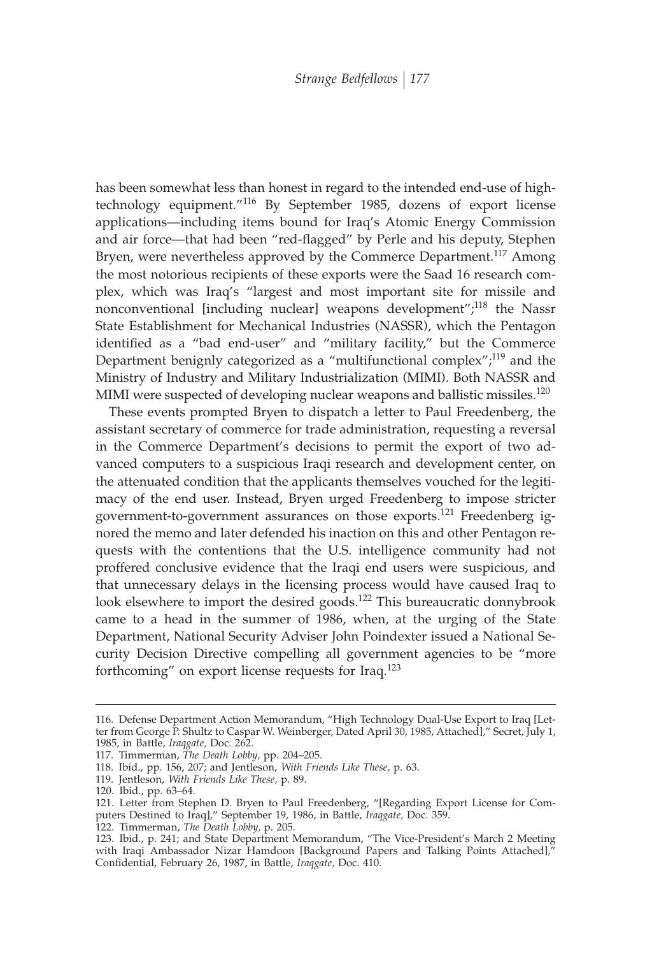has been somewhat less than honest in regard to the intended end-use of hightechnology equipment."116 By September 1985, dozens of export license applications—including items bound for Iraq's Atomic Energy Commission and air force—that had been "red-flagged" by Perle and his deputy, Stephen Bryen, were nevertheless approved by the Commerce Department.<sup>117</sup> Among the most notorious recipients of these exports were the Saad 16 research complex, which was Iraq's "largest and most important site for missile and nonconventional [including nuclear] weapons development",<sup>118</sup> the Nassr State Establishment for Mechanical Industries (NASSR), which the Pentagon identified as a "bad end-user" and "military facility," but the Commerce Department benignly categorized as a "multifunctional complex",<sup>119</sup> and the Ministry of Industry and Military Industrialization (MIMI). Both NASSR and MIMI were suspected of developing nuclear weapons and ballistic missiles.<sup>120</sup>

These events prompted Bryen to dispatch a letter to Paul Freedenberg, the assistant secretary of commerce for trade administration, requesting a reversal in the Commerce Department's decisions to permit the export of two advanced computers to a suspicious Iraqi research and development center, on the attenuated condition that the applicants themselves vouched for the legitimacy of the end user. Instead, Bryen urged Freedenberg to impose stricter government-to-government assurances on those exports.<sup>121</sup> Freedenberg ignored the memo and later defended his inaction on this and other Pentagon requests with the contentions that the U.S. intelligence community had not proffered conclusive evidence that the Iraqi end users were suspicious, and that unnecessary delays in the licensing process would have caused Iraq to look elsewhere to import the desired goods.<sup>122</sup> This bureaucratic donnybrook came to a head in the summer of 1986, when, at the urging of the State Department, National Security Adviser John Poindexter issued a National Security Decision Directive compelling all government agencies to be "more forthcoming" on export license requests for Iraq.<sup>123</sup>

<sup>116.</sup> Defense Department Action Memorandum, "High Technology Dual-Use Export to Iraq [Letter from George P. Shultz to Caspar W. Weinberger, Dated April 30, 1985, Attached]," Secret, July 1, 1985, in Battle, *Iraqgate,* Doc. 262.

<sup>117.</sup> Timmerman, *The Death Lobby,* pp. 204–205.

<sup>118.</sup> Ibid., pp. 156, 207; and Jentleson, *With Friends Like These,* p. 63.

<sup>119.</sup> Jentleson, *With Friends Like These,* p. 89.

<sup>120.</sup> Ibid., pp. 63–64.

<sup>121.</sup> Letter from Stephen D. Bryen to Paul Freedenberg, "[Regarding Export License for Computers Destined to Iraq]," September 19, 1986, in Battle, *Iraqgate,* Doc. 359.

<sup>122.</sup> Timmerman, *The Death Lobby,* p. 205.

<sup>123.</sup> Ibid., p. 241; and State Department Memorandum, "The Vice-President's March 2 Meeting with Iraqi Ambassador Nizar Hamdoon [Background Papers and Talking Points Attached]," Confidential, February 26, 1987, in Battle, *Iraqgate*, Doc. 410.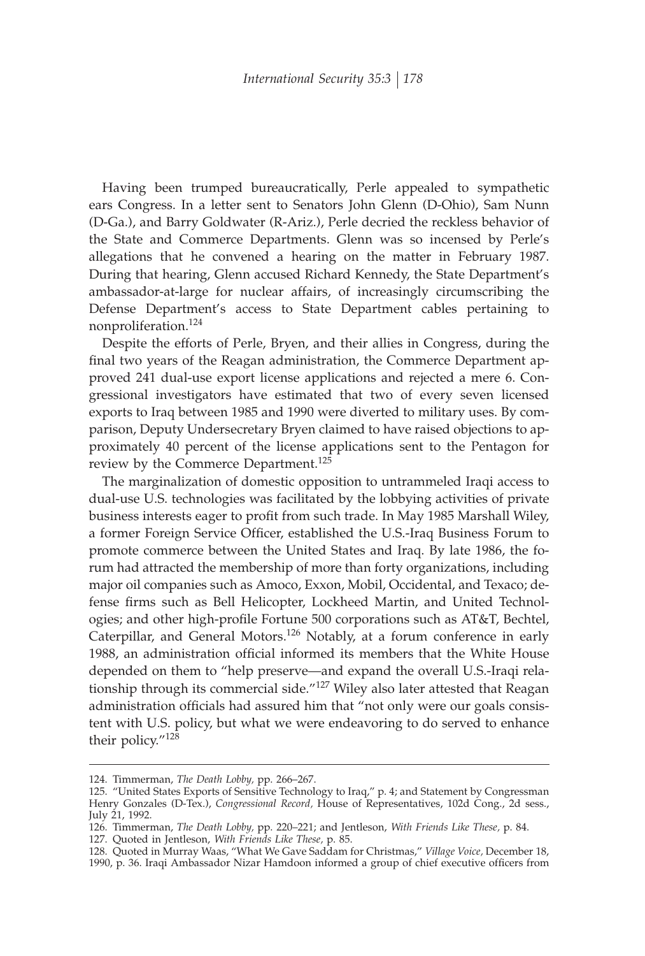Having been trumped bureaucratically, Perle appealed to sympathetic ears Congress. In a letter sent to Senators John Glenn (D-Ohio), Sam Nunn (D-Ga.), and Barry Goldwater (R-Ariz.), Perle decried the reckless behavior of the State and Commerce Departments. Glenn was so incensed by Perle's allegations that he convened a hearing on the matter in February 1987. During that hearing, Glenn accused Richard Kennedy, the State Department's ambassador-at-large for nuclear affairs, of increasingly circumscribing the Defense Department's access to State Department cables pertaining to nonproliferation.<sup>124</sup>

Despite the efforts of Perle, Bryen, and their allies in Congress, during the final two years of the Reagan administration, the Commerce Department approved 241 dual-use export license applications and rejected a mere 6. Congressional investigators have estimated that two of every seven licensed exports to Iraq between 1985 and 1990 were diverted to military uses. By comparison, Deputy Undersecretary Bryen claimed to have raised objections to approximately 40 percent of the license applications sent to the Pentagon for review by the Commerce Department.<sup>125</sup>

The marginalization of domestic opposition to untrammeled Iraqi access to dual-use U.S. technologies was facilitated by the lobbying activities of private business interests eager to profit from such trade. In May 1985 Marshall Wiley, a former Foreign Service Officer, established the U.S.-Iraq Business Forum to promote commerce between the United States and Iraq. By late 1986, the forum had attracted the membership of more than forty organizations, including major oil companies such as Amoco, Exxon, Mobil, Occidental, and Texaco; defense firms such as Bell Helicopter, Lockheed Martin, and United Technologies; and other high-profile Fortune 500 corporations such as AT&T, Bechtel, Caterpillar, and General Motors.<sup>126</sup> Notably, at a forum conference in early 1988, an administration official informed its members that the White House depended on them to "help preserve—and expand the overall U.S.-Iraqi relationship through its commercial side."<sup>127</sup> Wiley also later attested that Reagan administration officials had assured him that "not only were our goals consistent with U.S. policy, but what we were endeavoring to do served to enhance their policy."<sup>128</sup>

<sup>124.</sup> Timmerman, *The Death Lobby,* pp. 266–267.

<sup>125. &</sup>quot;United States Exports of Sensitive Technology to Iraq," p. 4; and Statement by Congressman Henry Gonzales (D-Tex.), *Congressional Record*, House of Representatives, 102d Cong., 2d sess., July 21, 1992.

<sup>126.</sup> Timmerman, *The Death Lobby,* pp. 220–221; and Jentleson, *With Friends Like These,* p. 84.

<sup>127.</sup> Quoted in Jentleson, *With Friends Like These,* p. 85.

<sup>128.</sup> Quoted in Murray Waas, "What We Gave Saddam for Christmas," *Village Voice,* December 18, 1990, p. 36. Iraqi Ambassador Nizar Hamdoon informed a group of chief executive officers from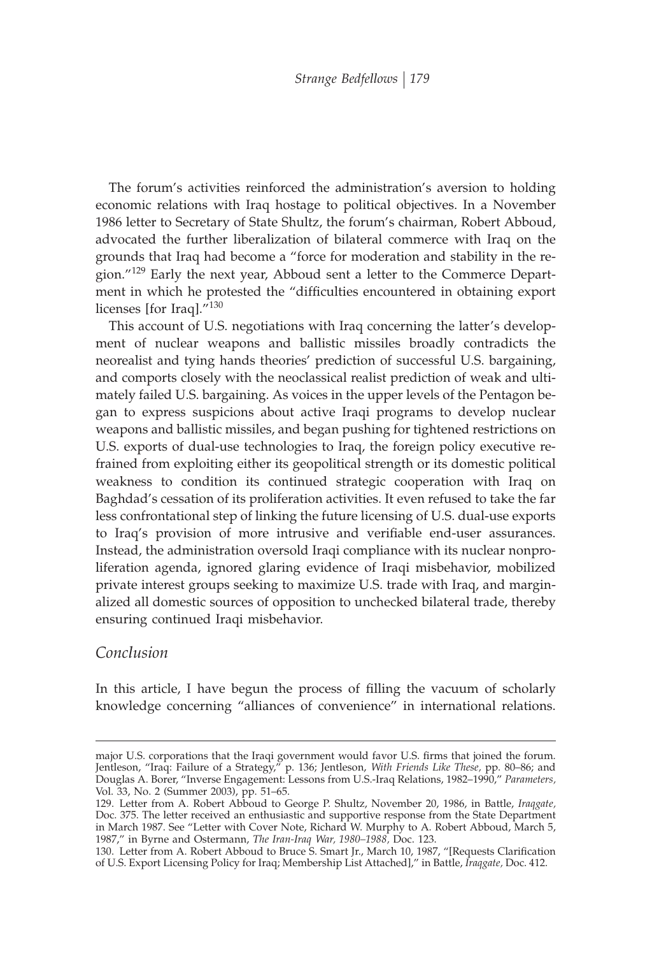The forum's activities reinforced the administration's aversion to holding economic relations with Iraq hostage to political objectives. In a November 1986 letter to Secretary of State Shultz, the forum's chairman, Robert Abboud, advocated the further liberalization of bilateral commerce with Iraq on the grounds that Iraq had become a "force for moderation and stability in the region."<sup>129</sup> Early the next year, Abboud sent a letter to the Commerce Department in which he protested the "difficulties encountered in obtaining export licenses [for Iraq]."<sup>130</sup>

This account of U.S. negotiations with Iraq concerning the latter's development of nuclear weapons and ballistic missiles broadly contradicts the neorealist and tying hands theories' prediction of successful U.S. bargaining, and comports closely with the neoclassical realist prediction of weak and ultimately failed U.S. bargaining. As voices in the upper levels of the Pentagon began to express suspicions about active Iraqi programs to develop nuclear weapons and ballistic missiles, and began pushing for tightened restrictions on U.S. exports of dual-use technologies to Iraq, the foreign policy executive refrained from exploiting either its geopolitical strength or its domestic political weakness to condition its continued strategic cooperation with Iraq on Baghdad's cessation of its proliferation activities. It even refused to take the far less confrontational step of linking the future licensing of U.S. dual-use exports to Iraq's provision of more intrusive and verifiable end-user assurances. Instead, the administration oversold Iraqi compliance with its nuclear nonproliferation agenda, ignored glaring evidence of Iraqi misbehavior, mobilized private interest groups seeking to maximize U.S. trade with Iraq, and marginalized all domestic sources of opposition to unchecked bilateral trade, thereby ensuring continued Iraqi misbehavior.

### *Conclusion*

In this article, I have begun the process of filling the vacuum of scholarly knowledge concerning "alliances of convenience" in international relations.

major U.S. corporations that the Iraqi government would favor U.S. firms that joined the forum. Jentleson, "Iraq: Failure of a Strategy," p. 136; Jentleson, *With Friends Like These,* pp. 80–86; and Douglas A. Borer, "Inverse Engagement: Lessons from U.S.-Iraq Relations, 1982–1990," *Parameters,* Vol. 33, No. 2 (Summer 2003), pp. 51–65.

<sup>129.</sup> Letter from A. Robert Abboud to George P. Shultz, November 20, 1986, in Battle, *Iraqgate,* Doc. 375. The letter received an enthusiastic and supportive response from the State Department in March 1987. See "Letter with Cover Note, Richard W. Murphy to A. Robert Abboud, March 5, 1987," in Byrne and Ostermann, *The Iran-Iraq War, 1980–1988,* Doc. 123.

<sup>130.</sup> Letter from A. Robert Abboud to Bruce S. Smart Jr., March 10, 1987, "[Requests Clarification of U.S. Export Licensing Policy for Iraq; Membership List Attached]," in Battle, *Iraqgate,* Doc. 412.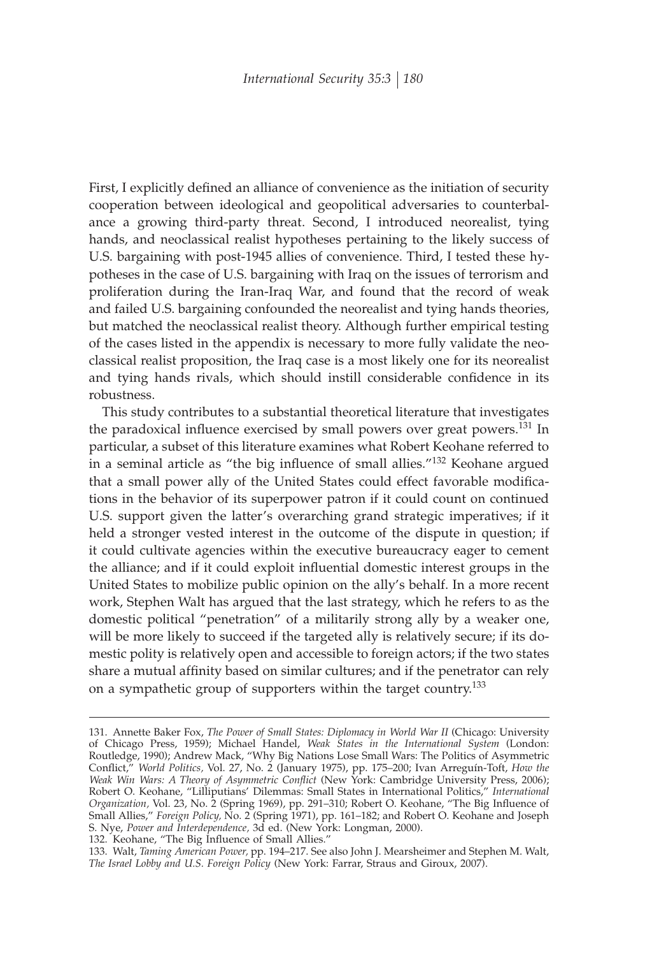First, I explicitly defined an alliance of convenience as the initiation of security cooperation between ideological and geopolitical adversaries to counterbalance a growing third-party threat. Second, I introduced neorealist, tying hands, and neoclassical realist hypotheses pertaining to the likely success of U.S. bargaining with post-1945 allies of convenience. Third, I tested these hypotheses in the case of U.S. bargaining with Iraq on the issues of terrorism and proliferation during the Iran-Iraq War, and found that the record of weak and failed U.S. bargaining confounded the neorealist and tying hands theories, but matched the neoclassical realist theory. Although further empirical testing of the cases listed in the appendix is necessary to more fully validate the neoclassical realist proposition, the Iraq case is a most likely one for its neorealist and tying hands rivals, which should instill considerable confidence in its robustness.

This study contributes to a substantial theoretical literature that investigates the paradoxical influence exercised by small powers over great powers.<sup>131</sup> In particular, a subset of this literature examines what Robert Keohane referred to in a seminal article as "the big influence of small allies." $132$  Keohane argued that a small power ally of the United States could effect favorable modifications in the behavior of its superpower patron if it could count on continued U.S. support given the latter's overarching grand strategic imperatives; if it held a stronger vested interest in the outcome of the dispute in question; if it could cultivate agencies within the executive bureaucracy eager to cement the alliance; and if it could exploit influential domestic interest groups in the United States to mobilize public opinion on the ally's behalf. In a more recent work, Stephen Walt has argued that the last strategy, which he refers to as the domestic political "penetration" of a militarily strong ally by a weaker one, will be more likely to succeed if the targeted ally is relatively secure; if its domestic polity is relatively open and accessible to foreign actors; if the two states share a mutual affinity based on similar cultures; and if the penetrator can rely on a sympathetic group of supporters within the target country.<sup>133</sup>

132. Keohane, "The Big Influence of Small Allies."

<sup>131.</sup> Annette Baker Fox, *The Power of Small States: Diplomacy in World War II* (Chicago: University of Chicago Press, 1959); Michael Handel, *Weak States in the International System* (London: Routledge, 1990); Andrew Mack, "Why Big Nations Lose Small Wars: The Politics of Asymmetric Conºict," *World Politics,* Vol. 27, No. 2 (January 1975), pp. 175–200; Ivan Arreguín-Toft, *How the Weak Win Wars: A Theory of Asymmetric Conflict* (New York: Cambridge University Press, 2006); Robert O. Keohane, "Lilliputians' Dilemmas: Small States in International Politics," *International Organization,* Vol. 23, No. 2 (Spring 1969), pp. 291–310; Robert O. Keohane, "The Big Influence of Small Allies," *Foreign Policy,* No. 2 (Spring 1971), pp. 161–182; and Robert O. Keohane and Joseph S. Nye, *Power and Interdependence,* 3d ed. (New York: Longman, 2000).

<sup>133.</sup> Walt, *Taming American Power,* pp. 194–217. See also John J. Mearsheimer and Stephen M. Walt, *The Israel Lobby and U.S. Foreign Policy* (New York: Farrar, Straus and Giroux, 2007).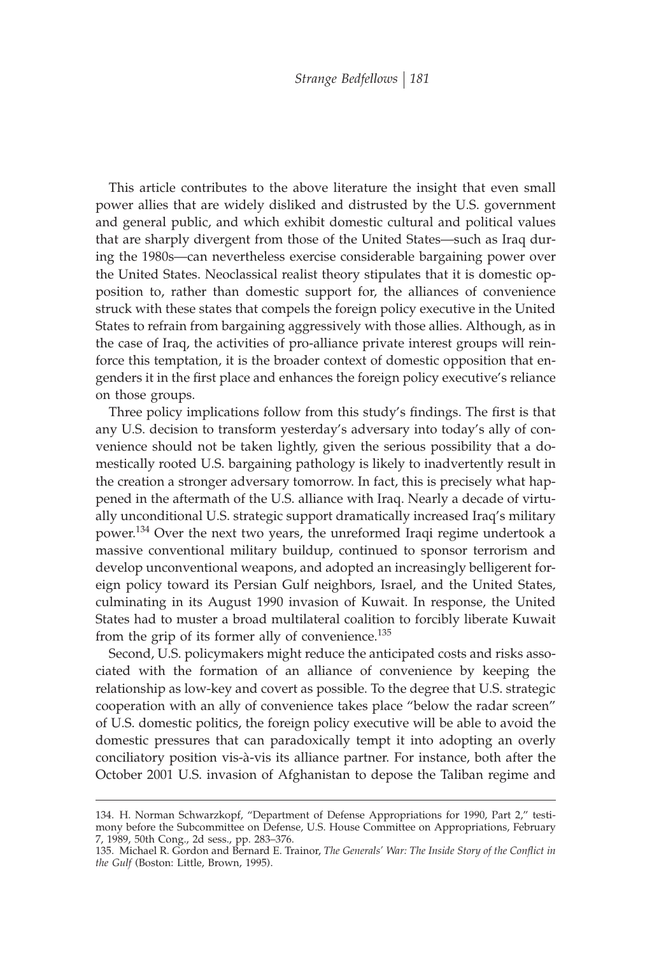This article contributes to the above literature the insight that even small power allies that are widely disliked and distrusted by the U.S. government and general public, and which exhibit domestic cultural and political values that are sharply divergent from those of the United States—such as Iraq during the 1980s—can nevertheless exercise considerable bargaining power over the United States. Neoclassical realist theory stipulates that it is domestic opposition to, rather than domestic support for, the alliances of convenience struck with these states that compels the foreign policy executive in the United States to refrain from bargaining aggressively with those allies. Although, as in the case of Iraq, the activities of pro-alliance private interest groups will reinforce this temptation, it is the broader context of domestic opposition that engenders it in the first place and enhances the foreign policy executive's reliance on those groups.

Three policy implications follow from this study's findings. The first is that any U.S. decision to transform yesterday's adversary into today's ally of convenience should not be taken lightly, given the serious possibility that a domestically rooted U.S. bargaining pathology is likely to inadvertently result in the creation a stronger adversary tomorrow. In fact, this is precisely what happened in the aftermath of the U.S. alliance with Iraq. Nearly a decade of virtually unconditional U.S. strategic support dramatically increased Iraq's military power.<sup>134</sup> Over the next two years, the unreformed Iraqi regime undertook a massive conventional military buildup, continued to sponsor terrorism and develop unconventional weapons, and adopted an increasingly belligerent foreign policy toward its Persian Gulf neighbors, Israel, and the United States, culminating in its August 1990 invasion of Kuwait. In response, the United States had to muster a broad multilateral coalition to forcibly liberate Kuwait from the grip of its former ally of convenience.<sup>135</sup>

Second, U.S. policymakers might reduce the anticipated costs and risks associated with the formation of an alliance of convenience by keeping the relationship as low-key and covert as possible. To the degree that U.S. strategic cooperation with an ally of convenience takes place "below the radar screen" of U.S. domestic politics, the foreign policy executive will be able to avoid the domestic pressures that can paradoxically tempt it into adopting an overly conciliatory position vis-à-vis its alliance partner. For instance, both after the October 2001 U.S. invasion of Afghanistan to depose the Taliban regime and

<sup>134.</sup> H. Norman Schwarzkopf, "Department of Defense Appropriations for 1990, Part 2," testimony before the Subcommittee on Defense, U.S. House Committee on Appropriations, February 7, 1989, 50th Cong., 2d sess., pp. 283–376.

<sup>135.</sup> Michael R. Gordon and Bernard E. Trainor, *The Generals' War: The Inside Story of the Conflict in the Gulf* (Boston: Little, Brown, 1995).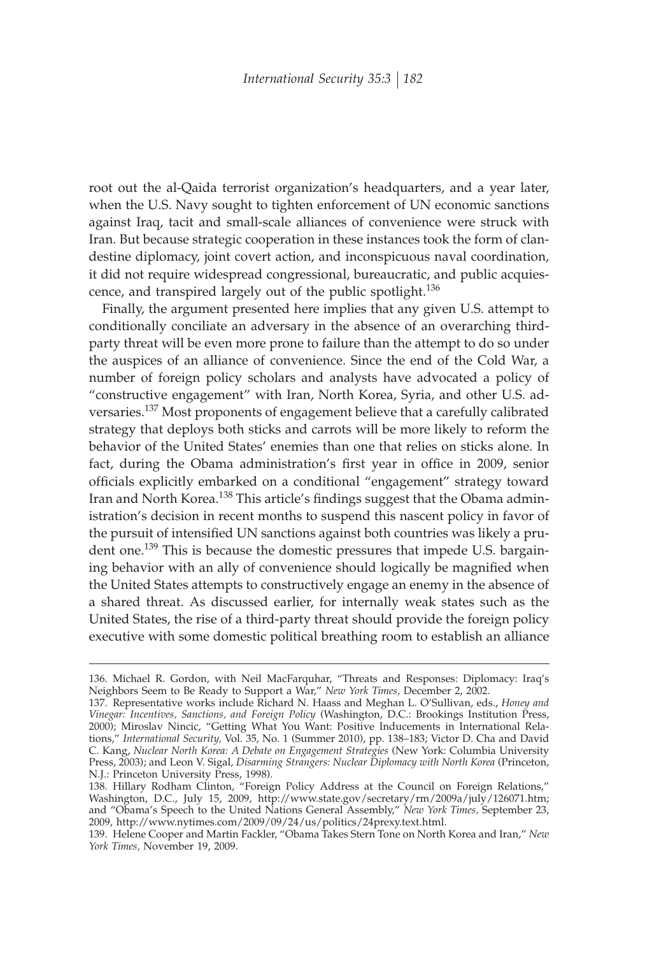root out the al-Qaida terrorist organization's headquarters, and a year later, when the U.S. Navy sought to tighten enforcement of UN economic sanctions against Iraq, tacit and small-scale alliances of convenience were struck with Iran. But because strategic cooperation in these instances took the form of clandestine diplomacy, joint covert action, and inconspicuous naval coordination, it did not require widespread congressional, bureaucratic, and public acquiescence, and transpired largely out of the public spotlight.<sup>136</sup>

Finally, the argument presented here implies that any given U.S. attempt to conditionally conciliate an adversary in the absence of an overarching thirdparty threat will be even more prone to failure than the attempt to do so under the auspices of an alliance of convenience. Since the end of the Cold War, a number of foreign policy scholars and analysts have advocated a policy of "constructive engagement" with Iran, North Korea, Syria, and other U.S. adversaries.<sup>137</sup> Most proponents of engagement believe that a carefully calibrated strategy that deploys both sticks and carrots will be more likely to reform the behavior of the United States' enemies than one that relies on sticks alone. In fact, during the Obama administration's first year in office in 2009, senior officials explicitly embarked on a conditional "engagement" strategy toward Iran and North Korea.<sup>138</sup> This article's findings suggest that the Obama administration's decision in recent months to suspend this nascent policy in favor of the pursuit of intensified UN sanctions against both countries was likely a prudent one.<sup>139</sup> This is because the domestic pressures that impede U.S. bargaining behavior with an ally of convenience should logically be magnified when the United States attempts to constructively engage an enemy in the absence of a shared threat. As discussed earlier, for internally weak states such as the United States, the rise of a third-party threat should provide the foreign policy executive with some domestic political breathing room to establish an alliance

<sup>136.</sup> Michael R. Gordon, with Neil MacFarquhar, "Threats and Responses: Diplomacy: Iraq's Neighbors Seem to Be Ready to Support a War," *New York Times,* December 2, 2002.

<sup>137.</sup> Representative works include Richard N. Haass and Meghan L. O'Sullivan, eds., *Honey and Vinegar: Incentives, Sanctions, and Foreign Policy* (Washington, D.C.: Brookings Institution Press, 2000); Miroslav Nincic, "Getting What You Want: Positive Inducements in International Relations," *International Security,* Vol. 35, No. 1 (Summer 2010), pp. 138–183; Victor D. Cha and David C. Kang, *Nuclear North Korea: A Debate on Engagement Strategies* (New York: Columbia University Press, 2003); and Leon V. Sigal, *Disarming Strangers: Nuclear Diplomacy with North Korea* (Princeton, N.J.: Princeton University Press, 1998).

<sup>138.</sup> Hillary Rodham Clinton, "Foreign Policy Address at the Council on Foreign Relations," Washington, D.C., July 15, 2009, http://www.state.gov/secretary/rm/2009a/july/126071.htm; and "Obama's Speech to the United Nations General Assembly," *New York Times,* September 23, 2009, http://www.nytimes.com/2009/09/24/us/politics/24prexy.text.html.

<sup>139.</sup> Helene Cooper and Martin Fackler, "Obama Takes Stern Tone on North Korea and Iran," *New York Times,* November 19, 2009.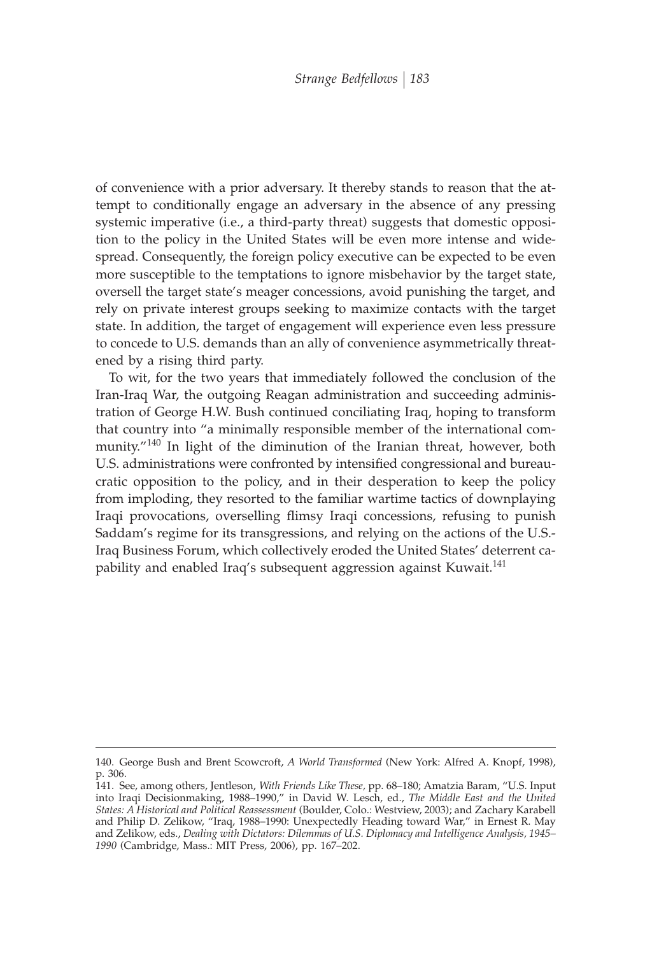of convenience with a prior adversary. It thereby stands to reason that the attempt to conditionally engage an adversary in the absence of any pressing systemic imperative (i.e., a third-party threat) suggests that domestic opposition to the policy in the United States will be even more intense and widespread. Consequently, the foreign policy executive can be expected to be even more susceptible to the temptations to ignore misbehavior by the target state, oversell the target state's meager concessions, avoid punishing the target, and rely on private interest groups seeking to maximize contacts with the target state. In addition, the target of engagement will experience even less pressure to concede to U.S. demands than an ally of convenience asymmetrically threatened by a rising third party.

To wit, for the two years that immediately followed the conclusion of the Iran-Iraq War, the outgoing Reagan administration and succeeding administration of George H.W. Bush continued conciliating Iraq, hoping to transform that country into "a minimally responsible member of the international community."<sup>140</sup> In light of the diminution of the Iranian threat, however, both U.S. administrations were confronted by intensified congressional and bureaucratic opposition to the policy, and in their desperation to keep the policy from imploding, they resorted to the familiar wartime tactics of downplaying Iraqi provocations, overselling flimsy Iraqi concessions, refusing to punish Saddam's regime for its transgressions, and relying on the actions of the U.S.- Iraq Business Forum, which collectively eroded the United States' deterrent capability and enabled Iraq's subsequent aggression against Kuwait.<sup>141</sup>

<sup>140.</sup> George Bush and Brent Scowcroft, *A World Transformed* (New York: Alfred A. Knopf, 1998), p. 306.

<sup>141.</sup> See, among others, Jentleson, *With Friends Like These,* pp. 68–180; Amatzia Baram, "U.S. Input into Iraqi Decisionmaking, 1988–1990," in David W. Lesch, ed., *The Middle East and the United States: A Historical and Political Reassessment* (Boulder, Colo.: Westview, 2003); and Zachary Karabell and Philip D. Zelikow, "Iraq, 1988–1990: Unexpectedly Heading toward War," in Ernest R. May and Zelikow, eds., *Dealing with Dictators: Dilemmas of U.S. Diplomacy and Intelligence Analysis, 1945– 1990* (Cambridge, Mass.: MIT Press, 2006), pp. 167–202.